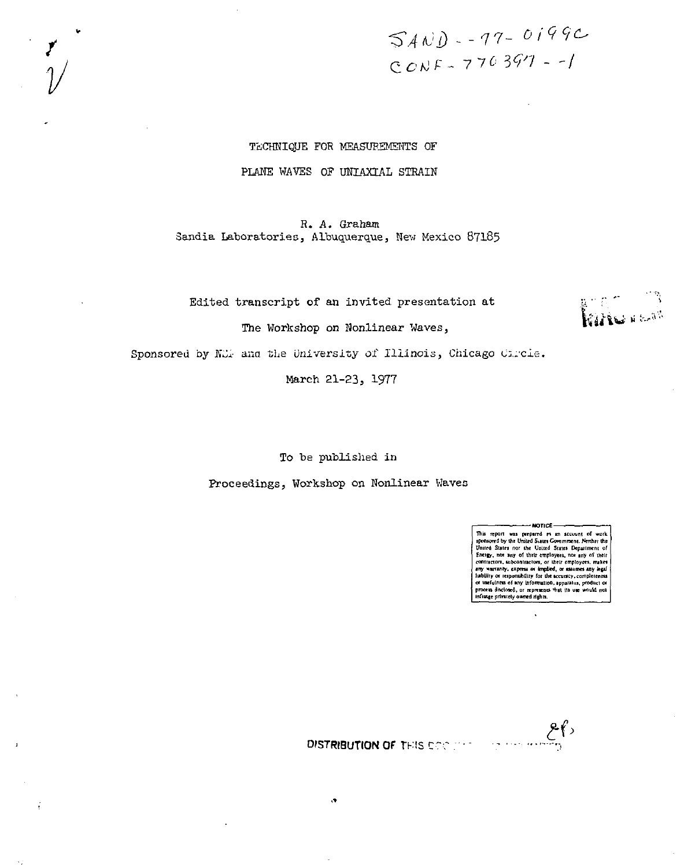$SAWD - 77 - 0199C$  $CONF - 770397 - -1$ 

# TECHNIQUE FOR MEASUREMENTS OF PLANE WAVES OF UNIAXIAL STRAIN

#### R. A. Graham Sandia Laboratories, Albuquerque, New Mexico 87185

Edited transcript of an invited presentation at The Workshop on Nonlinear Waves,



Sponsored by NEF and the University of Illinois, Chicago Circle.

March 21-23, 1977

To be published in

Proceedings, Workshop on Nonlinear Waves

NOTICE This report was prepared #4 an account of work<br>sponsored by the United States Government. Netther the United States not the United States Department of Energy, nor any of their employees, nor any of their<br>contractors, subcontractors, or their employees, makes any warranty, express or implied, or saturnes any heal<br>lubility or responsibility for the accuracy, completeness<br>or usefulness of any information, apparatus, product or process disclosed, or represents that its use winding privately owned rights.

CP 3

 $\bullet$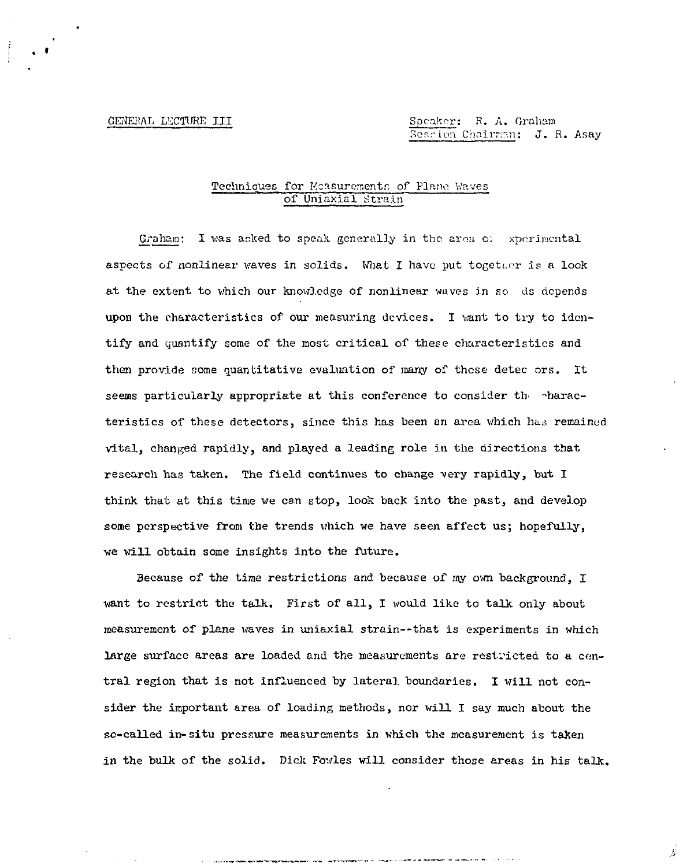GENERAL LECTURE III 1999 Speaker: R. A. Graham Kession Chairman: J. R. Asay

B

#### Techniques for Moasurements of Plane Waves of Uniaxial Strain

Graham: I was asked to speak generally in the area of xperimental aspects of nonlinear waves in solids. What I have put together is a look at the extent to which our knowledge of nonlinear waves in so ds depends upon the characteristics of our measuring devices. I want to try to identify and quantify some of the most critical of these characteristics and then provide some quantitative evaluation of many of these detec ors. It seems particularly appropriate at this conference to consider the characteristics of these detectors, since this has been an area which has remained vital, changed rapidly, and played a leading role in the directions that research has taken. The field continues to change very rapidly, but I think that at this time we can stop, look back into the past, and develop some perspective from the trends which we have seen affect us; hopefully, we will obtain some insights into the future.

Because of the time restrictions and because of my own background. I want to restrict the talk. First of all, I would like to talk only about measurement of plane waves in uniaxial strain--that is experiments in which large surface areas are loaded and the measurements are restricted to a central region that is not influenced by lateral boundaries. I will not consider the important area of loading methods, nor will I say much about the so-called in-situ pressure measurements in which the measurement is taken in the bulk of the solid. Dick Fowles will consider those areas in his talk.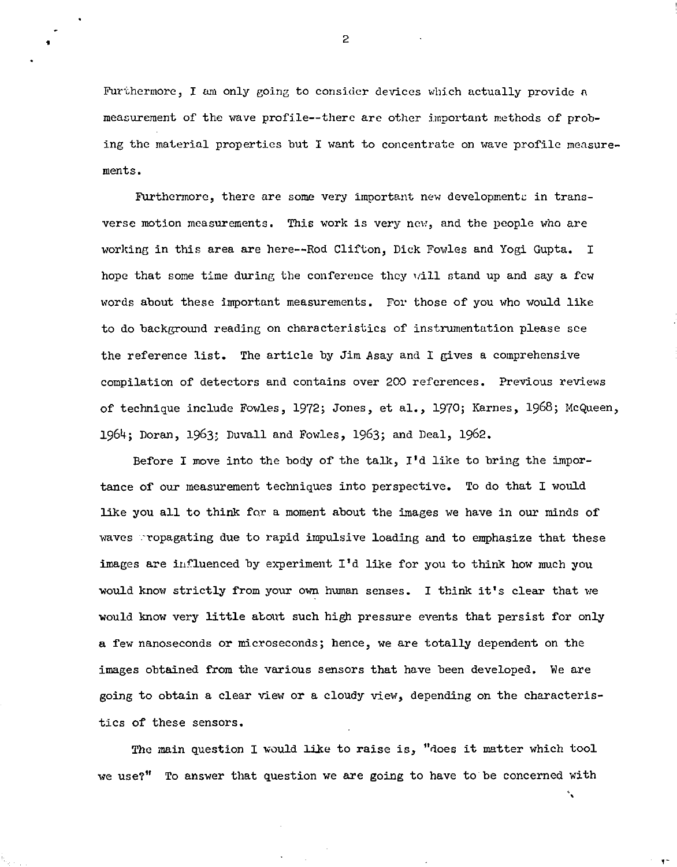Furthermore, I am only going to consider devices which actually provide a measurement of the wave profile—there are other important methods of probing the material properties but I want to concentrate on wave profile measurements.

Furthermore, there are some very important new developments in transverse motion measurements. This work is very new, and the people who are working in this area are here—Rod Clifton, Dick Fowles and Yogi Gupta. I hope that some time during the conference they vill stand up and say a few words about these important measurements. For those of you who would like to do background reading on characteristics of instrumentation please see the reference list. The article by Jim Asay and I gives a comprehensive compilation of detectors and contains over 200 references. Previous reviews of technique include Fowles, 1972; Jones, et al., 1970; Karnes, I968; McQueen, I96I+; Doran, 1963; Duvall and Fowles, 1963; and Deal, 1962.

Before I move into the body of the talk, I'd like to bring the importance of our measurement techniques into perspective. To do that I would like you all to think for a moment about the images we have in our minds of waves ropagating due to rapid impulsive loading and to emphasize that these images are influenced by experiment I'd like for you to think how much you would know strictly from your own human senses. I think it's clear that we would know very little about such high pressure events that persist for only a few nanoseconds or microseconds; hence, we are totally dependent on the images obtained from the various sensors that have been developed. We are going to obtain a clear view or a cloudy view, depending on the characteristics of these sensors.

The main question I would like to raise is, "does it matter which tool we use?" To answer that question we are going to have to be concerned with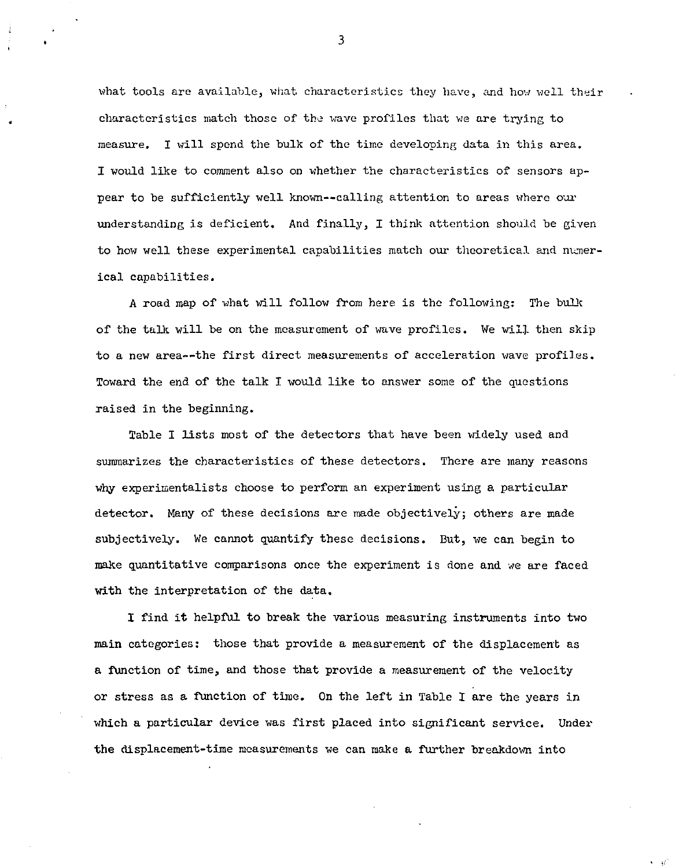what tools are available, what characteristics they have, and how well their characteristics match those of the wave profiles that we are trying to measure, I will spend the hulk of the time developing data in this area. I would like to comment also on whether the characteristics of sensors appear to be sufficiently well known--calling attention to areas where our understanding is deficient. And finally, I think attention should be given to how well these experimental capabilities match our theoretical and numerical capabilities.

A road map of what will follow from here is the following: The buUt of the talk will be on the measurement of wave profiles. We wil.]. then skip to a new area—the first direct measurements of acceleration wave profiles. Toward the end of the talk I would like to answer some of the questions raised in the beginning.

Table I lists most of the detectors that have been widely used and summarizes the characteristics of these detectors. There are many reasons why experimentalists choose to perform an experiment using a particular detector. Many of these decisions are made objectively; others are made subjectively. We cannot quantify these decisions. But, we can begin to make quantitative comparisons once the experiment is done and we are faced with the interpretation of the data.

I find it helpful to break the various measuring instruments into two main categories: those that provide a measurement of the displacement as a function of time, and those that provide a measurement of the velocity or stress as a function of time. On the left in Table I are the years in which a particular device was first placed into significant service. Under the displacement-time measurements we can make a further breakdown into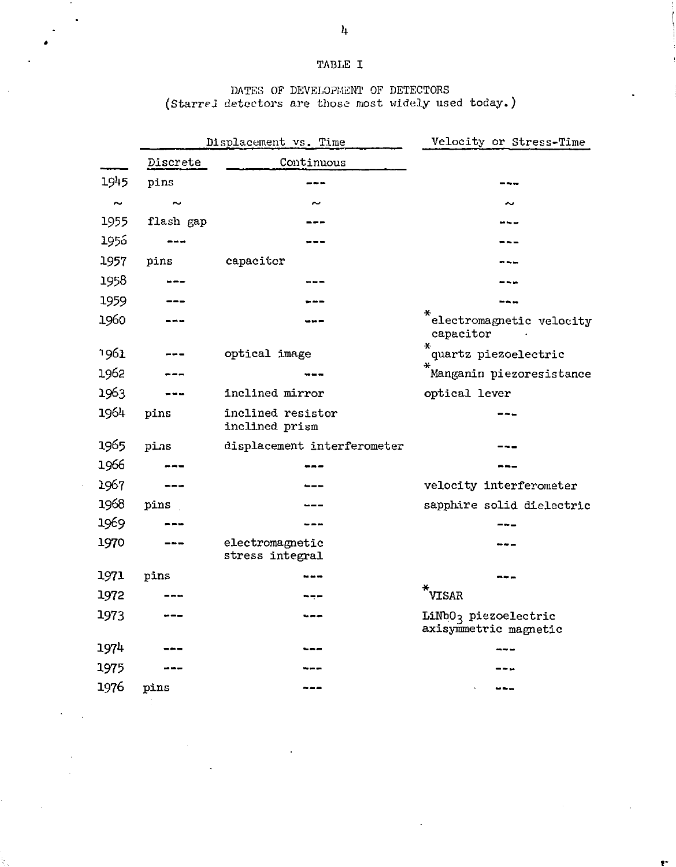## TABLE I

#### DATES OF DEVELOPMENT OF DETECTORS (StarreJ detectors are those most widely used today.)

|            | Displacement vs. Time |                                     | Velocity or Stress-Time                       |
|------------|-----------------------|-------------------------------------|-----------------------------------------------|
|            | Discrete              | Continuous                          |                                               |
| 1945       | pins                  |                                     |                                               |
| $\tilde{}$ | $\sim$                |                                     |                                               |
| 1955       | flash gap             |                                     |                                               |
| 1956       |                       |                                     |                                               |
| 1957       | pins                  | capacitor                           |                                               |
| 1958       |                       |                                     |                                               |
| 1959       |                       |                                     |                                               |
| 1960       |                       |                                     | electromagnetic velocity<br>capacitor         |
| 1961       |                       | optical image                       | ∗<br>quartz piezoelectric                     |
| 1962       |                       |                                     | ¥<br>Manganin piezoresistance                 |
| 1963       |                       | inclined mirror                     | optical lever                                 |
| 1964       | pins                  | inclined resistor<br>inclined prism |                                               |
| 1965       | pins                  | displacement interferometer         |                                               |
| 1966       |                       |                                     |                                               |
| 1967       |                       |                                     | velocity interferometer                       |
| 1968       | pins                  |                                     | sapphire solid dielectric                     |
| 1969       |                       |                                     |                                               |
| 1970       |                       | electromagnetic<br>stress integral  |                                               |
| 1971       | pins                  |                                     |                                               |
| 1972       |                       |                                     | $\star_{\texttt{VISAR}}$                      |
| 1973       |                       |                                     | LiNbO3 piezoelectric<br>axisymmetric magnetic |
| 1974       |                       |                                     |                                               |
| 1975       |                       |                                     |                                               |
| 1976       | pins                  |                                     |                                               |

Ŧ.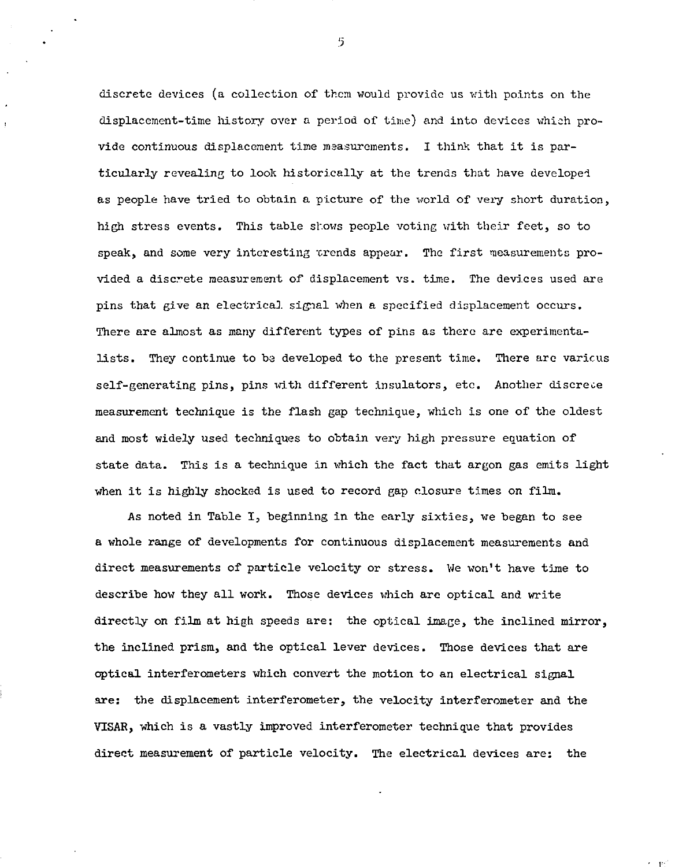discrete devices (a collection of them would provide us with points on the displacement-time history over a period of time) and into devices which provide continuous displacement time measurements. I think that it is particularly revealing to look historically at the trends that have developed as people have tried to obtain a picture of the world of very short duration, high stress events. This table shows people voting with their feet, so to speak, and some very interesting 'trends appear. The first measurements provided a discrete measurement of displacement vs. time. The devices used are pins that give an electrical signal when a specified displacement occurs. There are almost as many different types of pins as there are experimentalists. They continue to be developed to the present time. There are various self-generating pins, pins with different insulators, etc. Another discrete measurement technique is the flash gap technique, which is one of the oldest and most widely used techniques to obtain very high pressure equation of state data. This is a technique in which the fact that argon gas emits light when it is highly shocked is used to record gap closure times on film.

As noted in Table  $I<sub>2</sub>$  beginning in the early sixties, we began to see a whole range of developments for continuous displacement measurements and direct measurements of particle velocity or stress. We won't have time to describe how they all work. Those devices which are optical and write directly on film at high speeds are: the optical image, the inclined mirror, the inclined prism, and the optical lever devices. Those devices that are optical interferometers which convert the motion to an electrical signal are: the displacement interferometer, the velocity interferometer and the VTSAR, which is a vastly improved interferometer technique that provides direct measurement of particle velocity. The electrical devices are: the

 $1^{\circ}$ 

*?*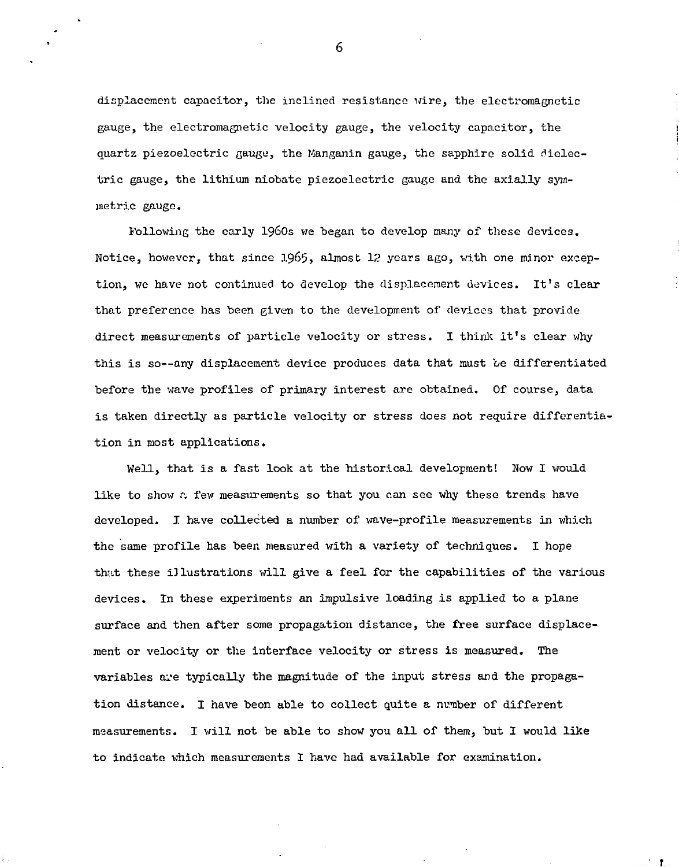displacement capacitor, the inclined resistance wire, the electromagnetic gauge, the electromagnetic velocity gauge, the velocity capacitor, the quartz piezoelectric gauge, the Manganin gauge, the sapphire solid dielectric gauge, the lithium niobate piezoelectric gauge and the axially symmetric gauge.

Following the early 1960s we began to develop many of these devices. Notice, however, that since 1965, almost 12 years ago, with one minor exception, we have not continued to develop the displacement devices. It's clear that preference has been given to the development of devices that provide direct measurements of particle velocity or stress. I think it's clear why this is so—any displacement device produces data that must be differentiated before the wave profiles of primary interest are obtained. Of course, data is taken directly as particle velocity or stress does not require differentiation in most applications.

Well, that is a fast look at the historical development! How I would like to show  $c$ , few measurements so that you can see why these trends have developed. I have collected a number of wave-profile measurements in which the same profile has been measured with a variety of techniques. I hope that these illustrations will give a feel for the capabilities of the various devices. In these experiments an impulsive loading is applied to a plane surface and then after some propagation distance, the free surface displacement or velocity or the interface velocity or stress is measured. The variables are typically the magnitude of the input stress and the propagation distance. I have been able to collect quite a number of different measurements. I will not be able to show you all of them, but I would like to indicate which measurements I have had available for examination.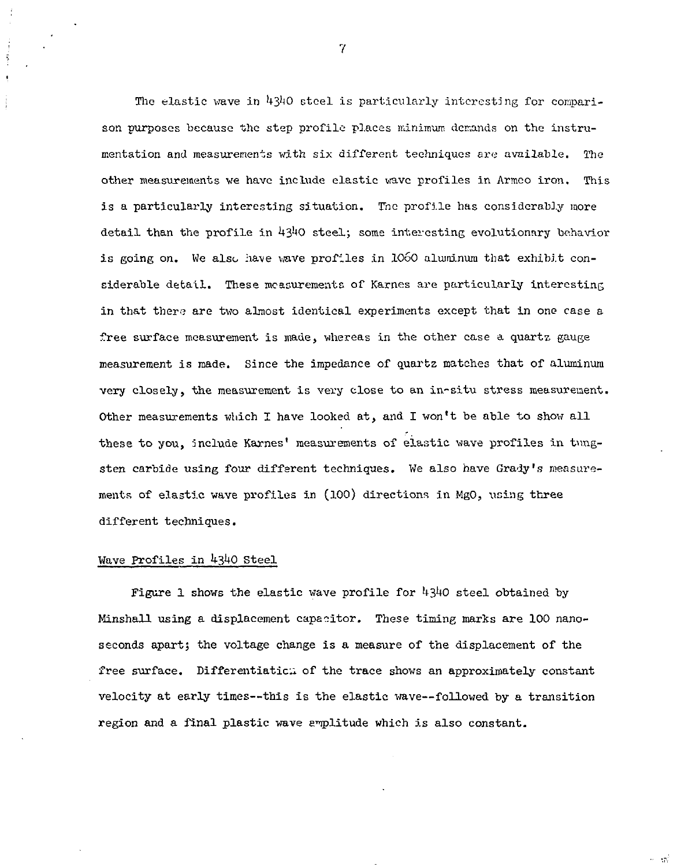The elastic wave in  $4340$  steel is particularly interesting for comparison purposes because the step profile places minimum demands on the instrumentation and measurements with six different techniques are available. The other measurements we have include elastic wave profiles in Armco iron. This is a particularly interesting situation. The profile has considerably more detail than the profile in  $43^{10}$  steel; some interesting evolutionary behavior is going on. We also have wave profiles in 1060 aluminum that exhibit considerable detail. These measurements of Karnes are particularly interesting in that there are two almost identical experiments except that in one case a free surface measurement is made, whereas in the other case a quartz gauge measurement is made. Since the impedance of quartz matches that of aluminum very closely, the measurement is very close to an in-situ stress measurement. Other measurements which I have looked at, and I won't be able to show all these to you, include Karnes' measurements of elastic wave profiles in tungsten carbide using four different techniques. We also have Grady's measurements of elastic wave profiles in (100) directions in MgO, using three different techniques.

#### Wave Profiles in 4340 Steel

Figure 1 shows the elastic wave profile for  $4340$  steel obtained by Minshall using a displacement capacitor. These timing marks are 100 nanoseconds apart; the voltage change is a measure of the displacement of the free surface. Differentiation of the trace shows an approximately constant velocity at early times—this is the elastic wave—followed by a transition region and a final plastic wave amplitude which is also constant.

 $\pm \pi$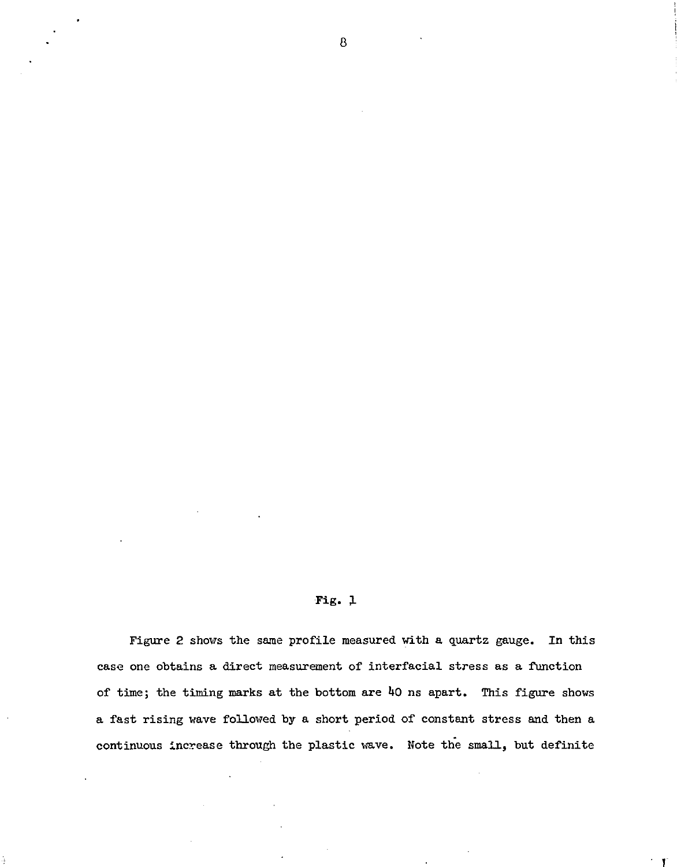#### Fig. 1

Figure 2 shows the same profile measured with a quartz gauge. In this case one obtains a direct measurement of interfacial stress as a function of time; the timing marks at the bottom are 40 ns apart. This figure shows a fast rising wave followed by a short period of constant stress and then a continuous increase through the plastic wave. Note the small, but definite

I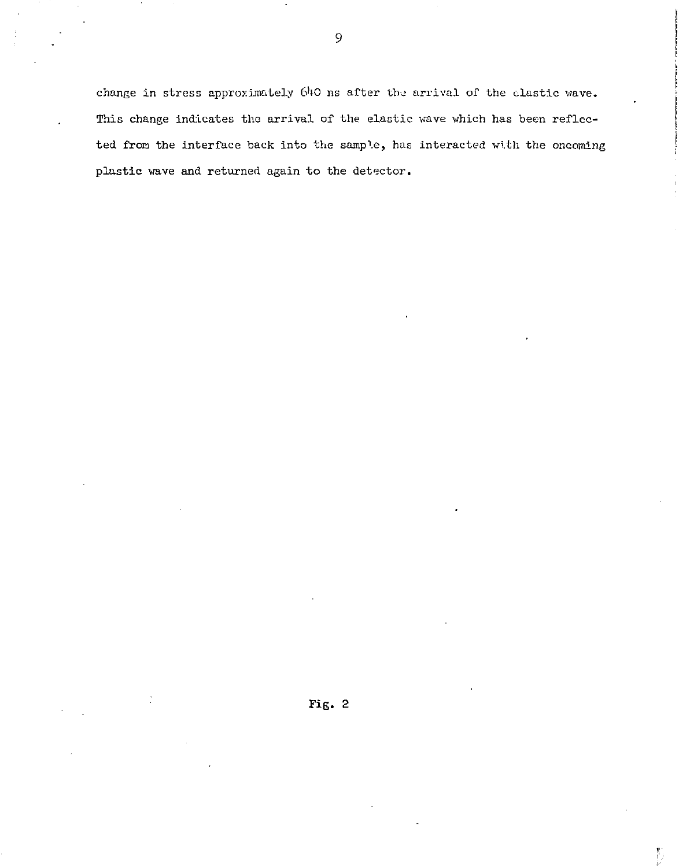change in stress approximately 640 ns after the arrival of the clastic wave. This change indicates the arrival of the elastic wave which has been reflected from the interface back into the sample, has interacted with the oncoming plastic wave and returned again to the detector.



 $\overline{9}$ 

**t I**  i I i f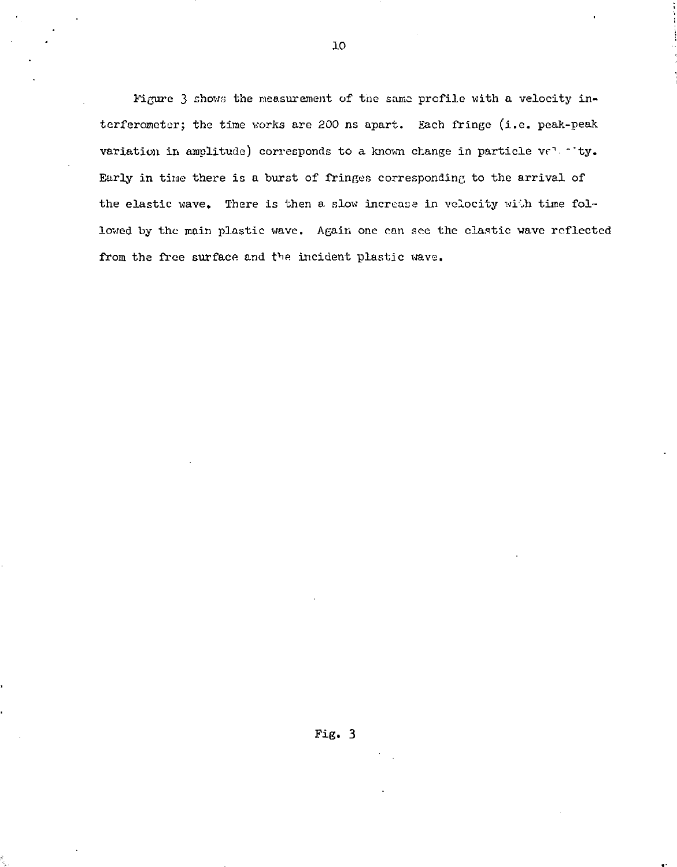Figure 3 shows the measurement of tne same profile with a velocity interferometer; the time works are 200 ns apart. Each fringe (i.e. peak-peak variation in amplitude) corresponds to a known change in particle  $v_f^T$  - 'ty. Early in time there is a burst of fringes corresponding to the arrival of the elastic wave. There is then a slow increase in velocity with time followed by the main plastic wave. Again one can see the elastic wave reflected from the free surface and *the* incident plastic wave.

Fig. 3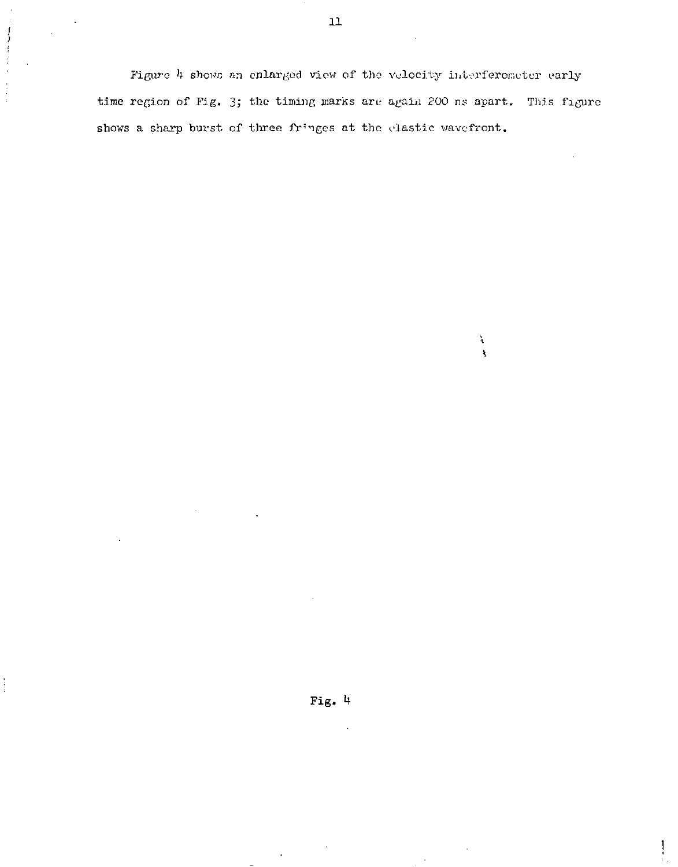Figure 4 shows an enlarged view of the velocity interferemeter early time region of Fig. 3; the timing marks are again 200 ns apart. This figure shows a sharp burst of three fringes at the clastic wavefront.

> À  $\ddot{\phantom{a}}$

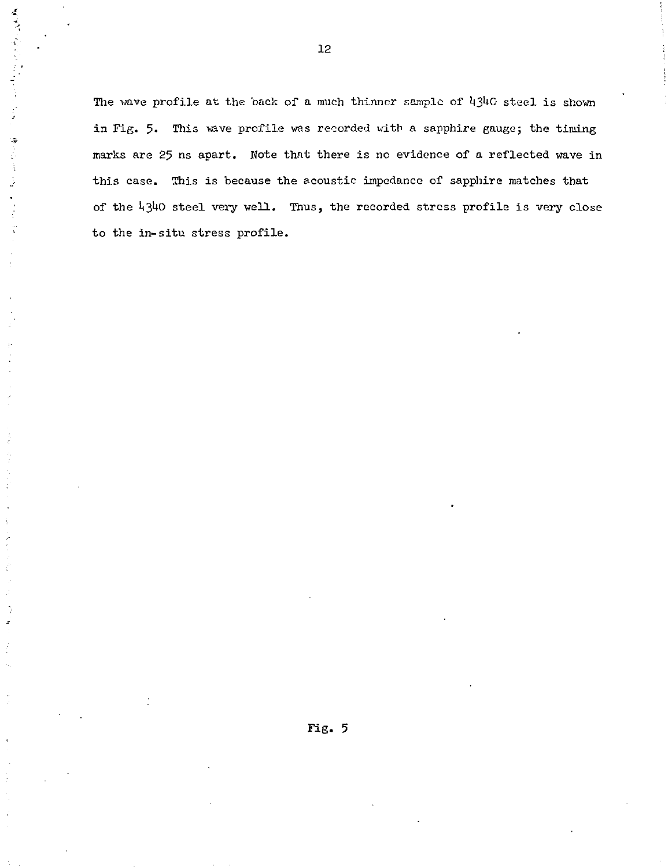The wave profile at the back of a much thinner sample of 4340 steel is shown in Fig. 5- This wave profile was recorded with a sapphire gauge; the timing marks are 25 ns apart. Note thnt there is no evidence of a reflected wave in this case. This is because the acoustic impedance of sapphire matches that of the *k3k0* steel very well. Thus, the recorded stress profile is very close to the in-situ stress profile.

ú ្នុ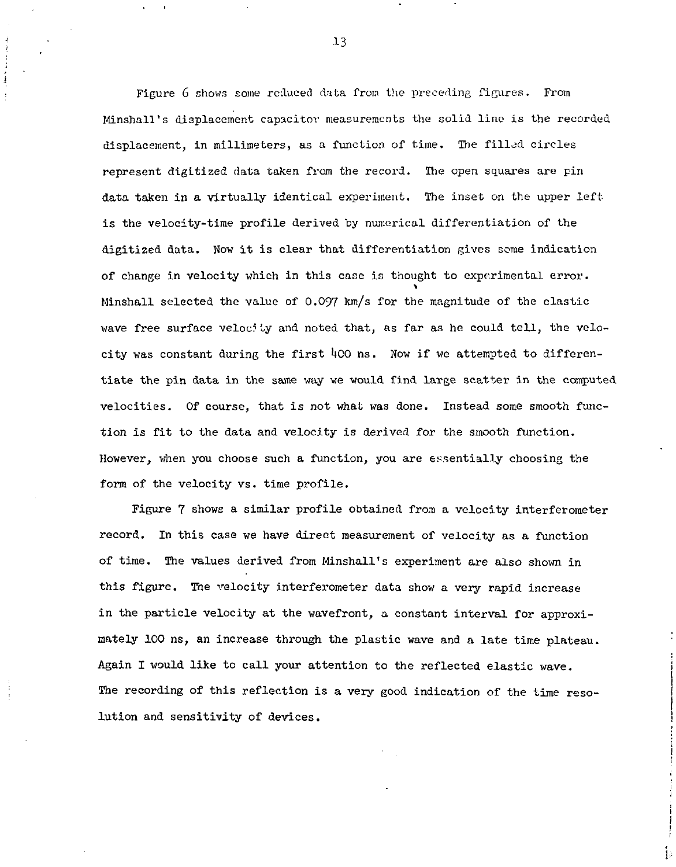Figure 6 shows some reduced data from the preceding figures. From Minshall's displacement capacitor measurements the solid line is the recorded displacement, in millimeters, as a function of time. The filled circles represent digitized data taken from the record. Hie open squares are pin data taken in a virtually identical experiment. The inset on the upper leftis the velocity-time profile derived by numerical differentiation of the digitized data. Now it is clear that differentiation gives some indication of change in velocity which in this case is thought to experimental error. Minshall selected the value of 0.097 km/s for the magnitude of the elastic wave free surface velocity and noted that, as far as he could tell, the velocity was constant during the first  $400$  ns. Now if we attempted to differentiate the pin data in the same way we would find large scatter in the computed velocities. Of course, that is not what was done. Instead some smooth function is fit to the data and velocity is derived for the smooth function. However, when you choose such a function, you are essentially choosing the form of the velocity vs. time profile.

Figure 7 shows a similar profile obtained from a velocity interferometer record. In this case we have direct measurement of velocity as a function of time. The values derived from Minshall's experiment are also shown in this figure. The velocity interferometer data show a very rapid increase in the particle velocity at the wavefront, a constant interval for approximately 100 ns, an increase through the plastic wave and a late time plateau. Again I would like to call your attention to the reflected elastic wave. The recording of this reflection is a very good indication of the time resolution and sensitivity of devices.

13

.<br>.<br>.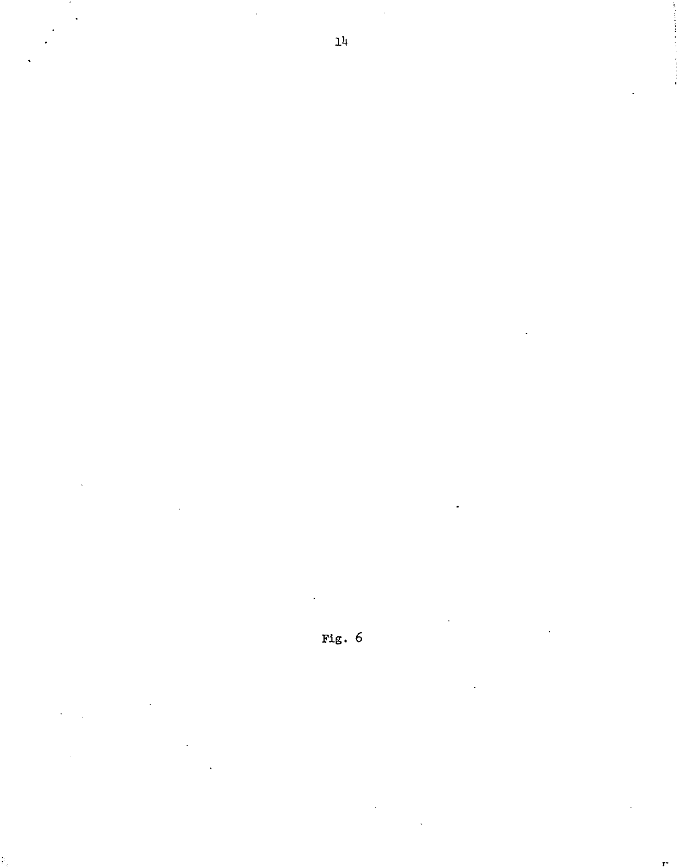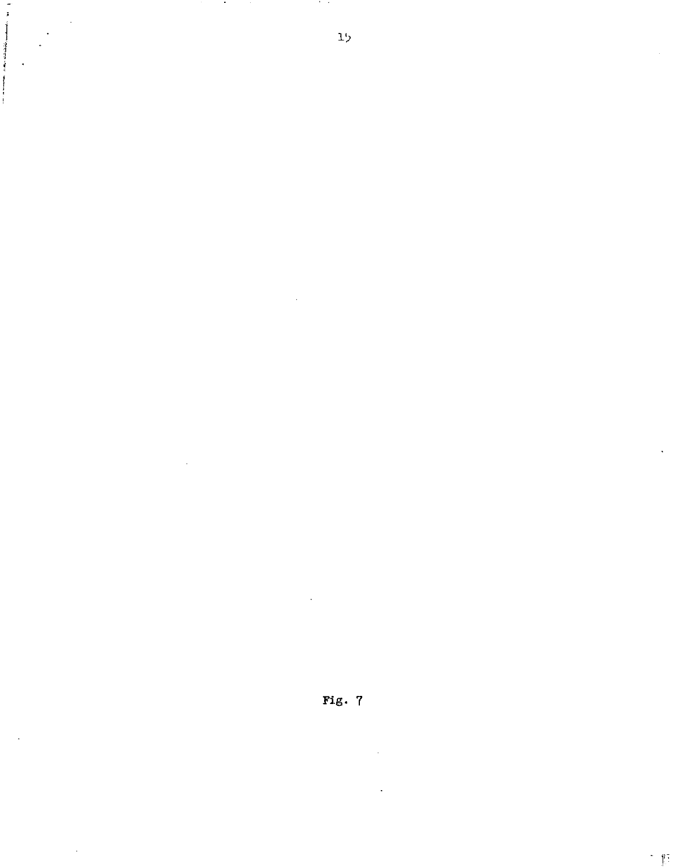

 $\cdots$ 

 $1<sub>2</sub>$ 

 $\bullet$ 

ĭ

Fig. 7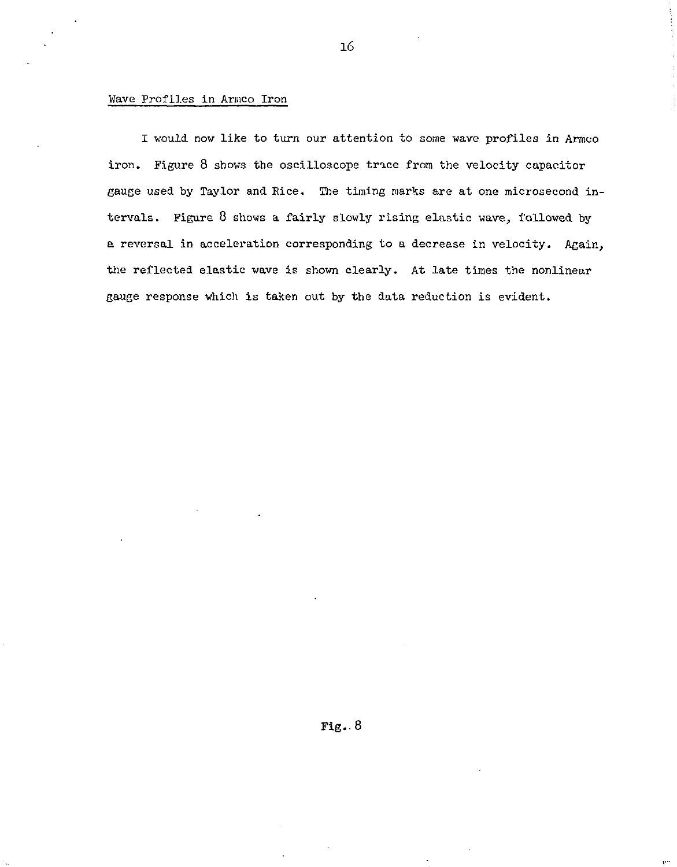#### Wave [ProfiJ.es](http://ProfiJ.es) in Armco Iron

I would now like to turn our attention to some wave profiles in Armco iron. Figure 8 shows the oscilloscope trace from the velocity capacitor gauge used by Taylor and Rice. The timing marks are at one microsecond intervals. Figure 8 shows a fairly slowly rising elastic wave, followed by a reversal in acceleration corresponding to a decrease in velocity. Again, the reflected elastic wave is shown clearly. At late times the nonlinear gauge response which is taken out by the data reduction is evident.

Fig. 8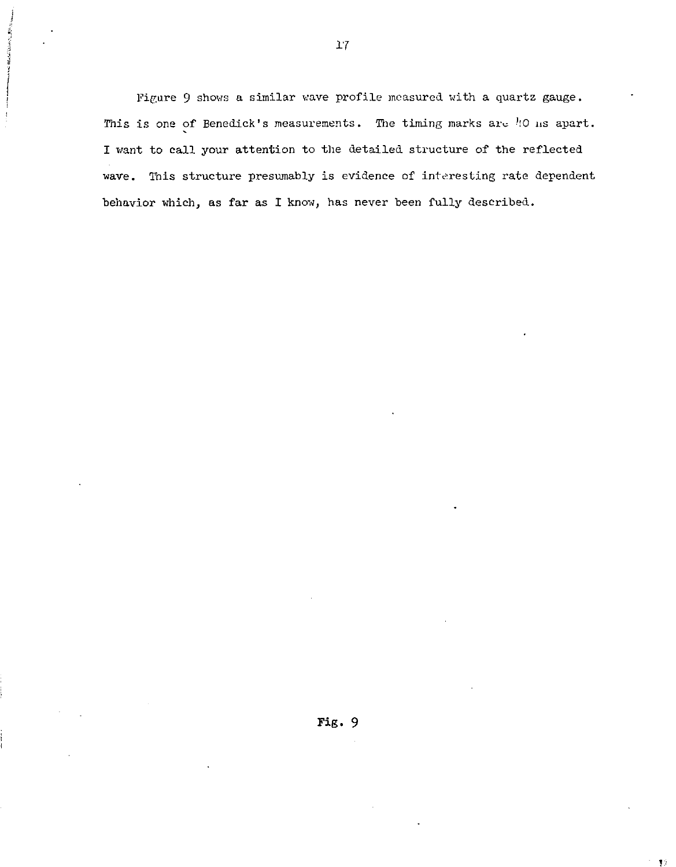Figure 9 shows a similar wave profile measured with a quartz gauge. This is one of Benedick's measurements. The timing marks are  $\frac{1}{10}$  us apart. I want to call your attention to the detailed structure of the reflected wave. This structure presumably is evidence of interesting rate dependent behavior which, as far as I know, has never been fully described.

**Fig.** 9

**ANGELIA** 

 $\overline{\phantom{a}}$ ţ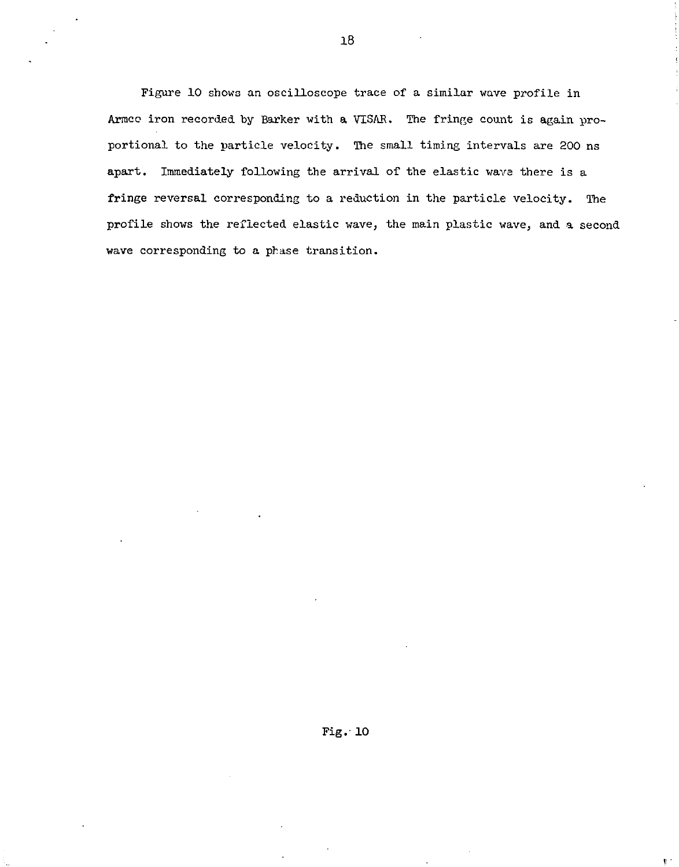Figure 10 shows an oscilloscope trace of a similar wave profile in Armco iron recorded by Barker with a VTSAE. The fringe count is again proportional to the particle velocity. The small timing intervals are 200 ns apart. Immediately following the arrival of the elastic wave there is a fringe reversal corresponding to a reduction in the particle velocity. The profile shows the reflected elastic wave, the main plastic wave, and a second wave corresponding to a phase transition.

Fig. 10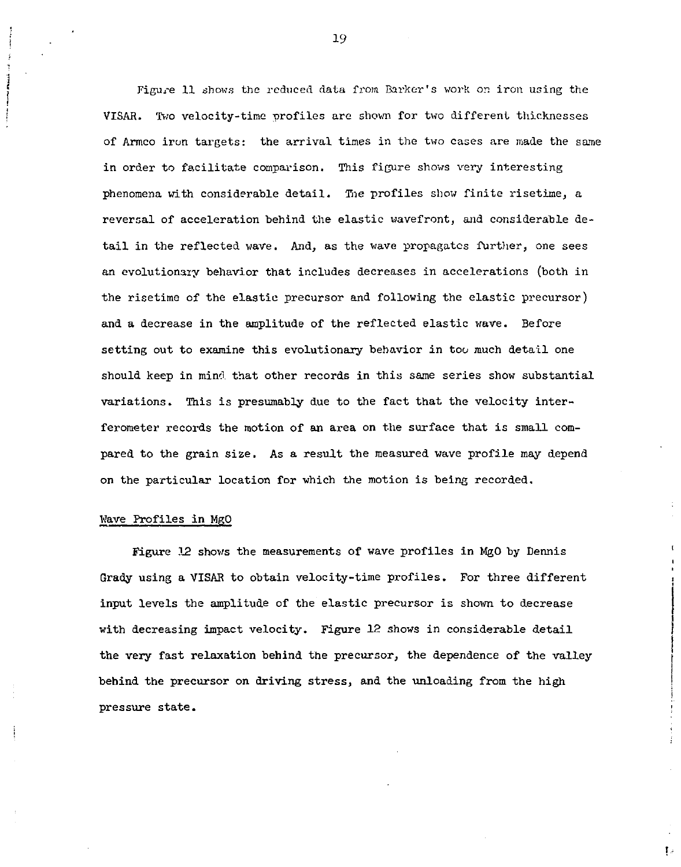Figure 11 shows the reduced data from Barker's work on iron using the VISAR. Two velocity-time profiles are shown for two different thicknesses of Armco iron targets: the arrival times in the two cases are made the same in order to facilitate comparison. This figure shows very interesting phenomena with considerable detail. The profiles show finite risetime, a reversal of acceleration behind the elastic wavefront, and considerable detail in the reflected wave. And, as the wave propagates further, one sees an evolutionary behavior that includes decreases in accelerations (both in the risetime of the elastic precursor and following the elastic precursor) and a decrease in the amplitude of the reflected elastic wave. Before setting out to examine this evolutionary behavior in too much detail one should keep in mind that other records in this same series show substantial variations. This is presumably due to the fact that the velocity interferometer records the motion of an area on the surface that is small compared to the grain size. As a result the measured wave profile may depend on the particular location for which the motion is being recorded.

#### Wave Profiles in MgO

Figure 12 shows the measurements of wave profiles in MgO by Dennis Grady using a VISAR to obtain velocity-time profiles. For three different input levels the amplitude of the elastic precursor is shown to decrease with decreasing impact velocity. Figure 12 shows in considerable detail the very fast relaxation behind the precursor, the dependence of the valley behind the precursor on driving stress, and the unloading from the high pressure state.

ŧ.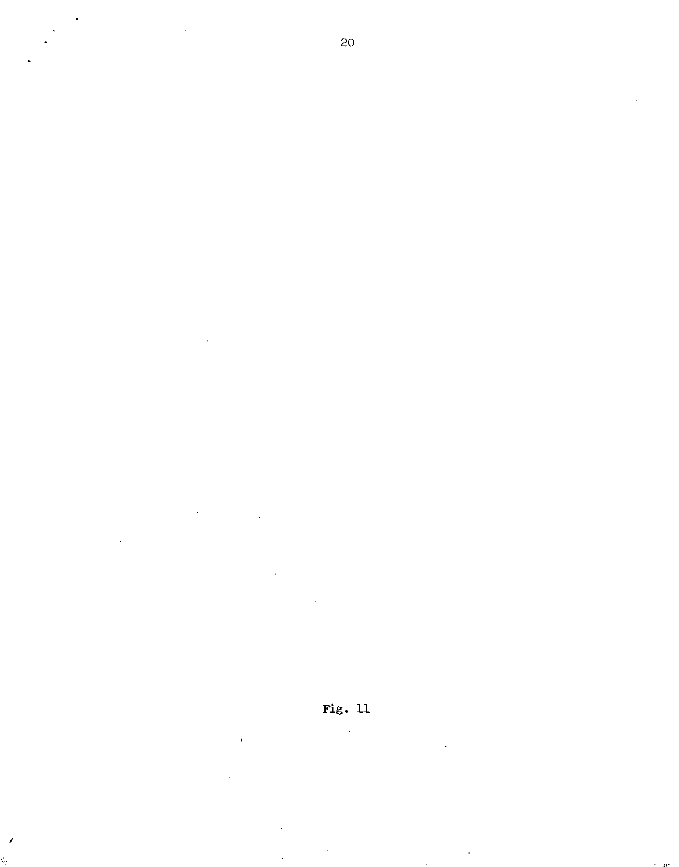

 $\overline{20}$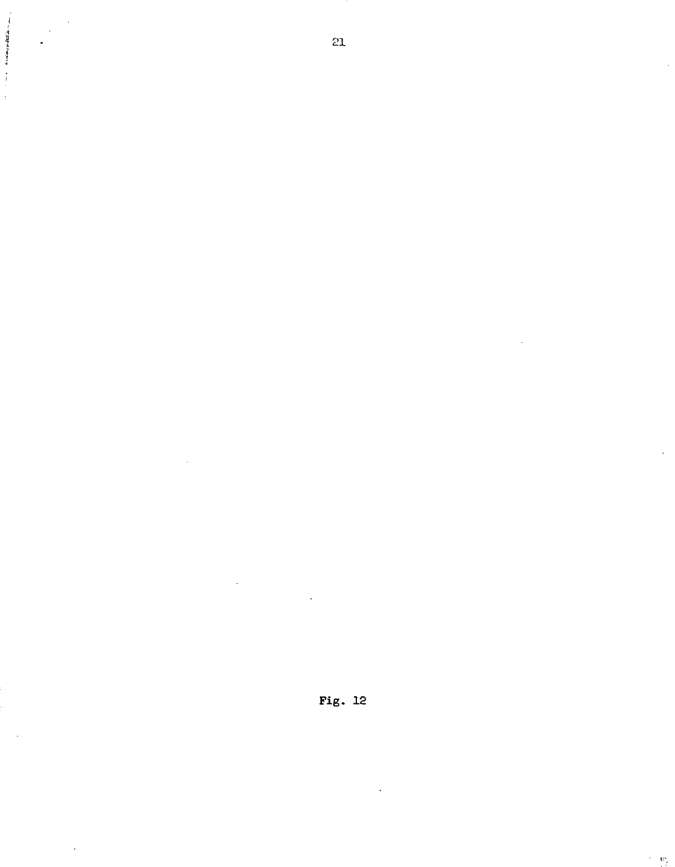

Fig. 12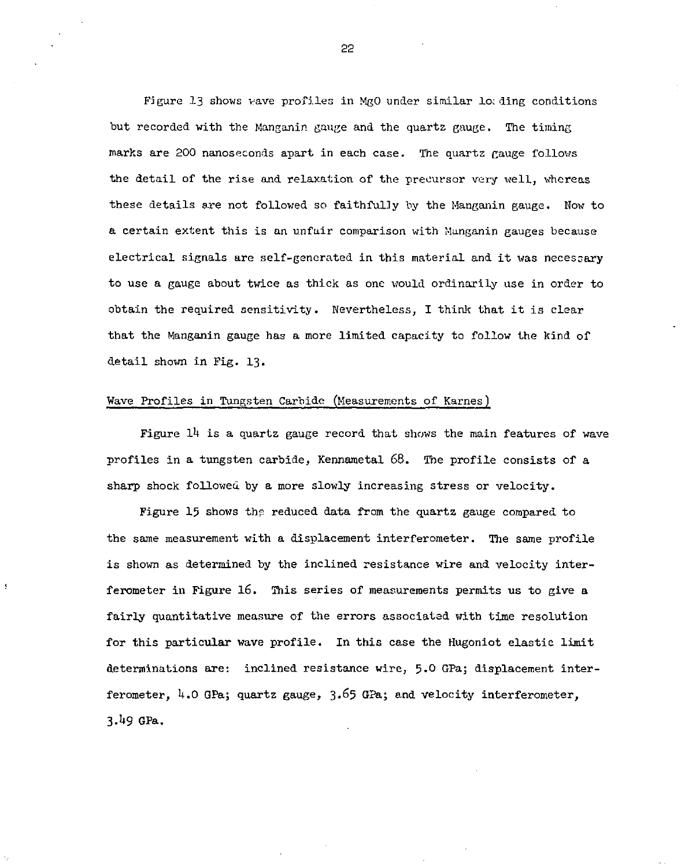Figure 13 shows vave profiles in MgO under similar lo; ding conditions but recorded with the Manganin gauge and the quartz gauge. The timing marks are 200 nanoseconds apart in each case. The quartz gauge follows the detail of the rise and relaxation of the precursor very well, whereas these details *exe* not followed so faithfully by the Manganin gauge. Now to a certain extent this is an unfair comparison with Manganin gauges because electrical signals are self-generated in this material and it was necessary to use a gauge about twice as thick as one would ordinarily use in order to obtain the required sensitivity. Nevertheless, I think that it is clear that the Manganin gauge has a more limited capacity to follow the kind of detail shown in Fig. 13.

### Wave Profiles in Tungsten Carbide (Measurements of Karnes)

Figure  $14$  is a quartz gauge record that shows the main features of wave profiles in a tungsten carbide, Kennametal  $68$ . The profile consists of a sharp shock followed by a more slowly increasing stress or velocity.

Figure 15 shows the reduced data from the quartz gauge compared to the same measurement with a displacement interferometer. The same profile is shown as determined by the inclined resistance wire and velocity interferometer in Figure 16. This series of measurements permits us to give a fairly quantitative measure of the errors associated with time resolution for this particular wave profile. In this case the Hugoniot elastic limit determinations are: inclined resistance wire, 5.0 GPa; displacement interferometer,  $4.0$  GPa; quartz gauge, 3.65 GPa; and velocity interferometer, 3.U9 GPa.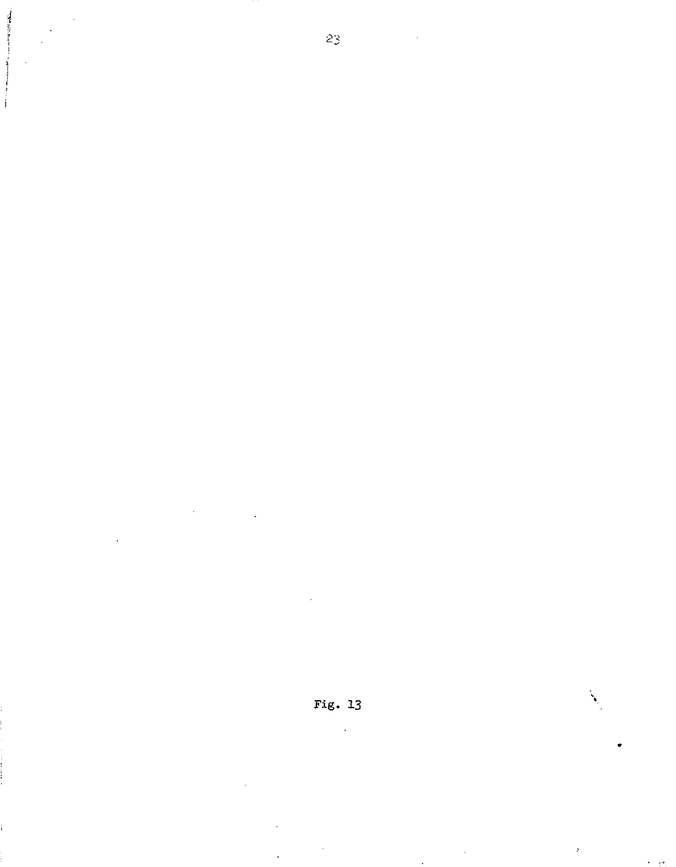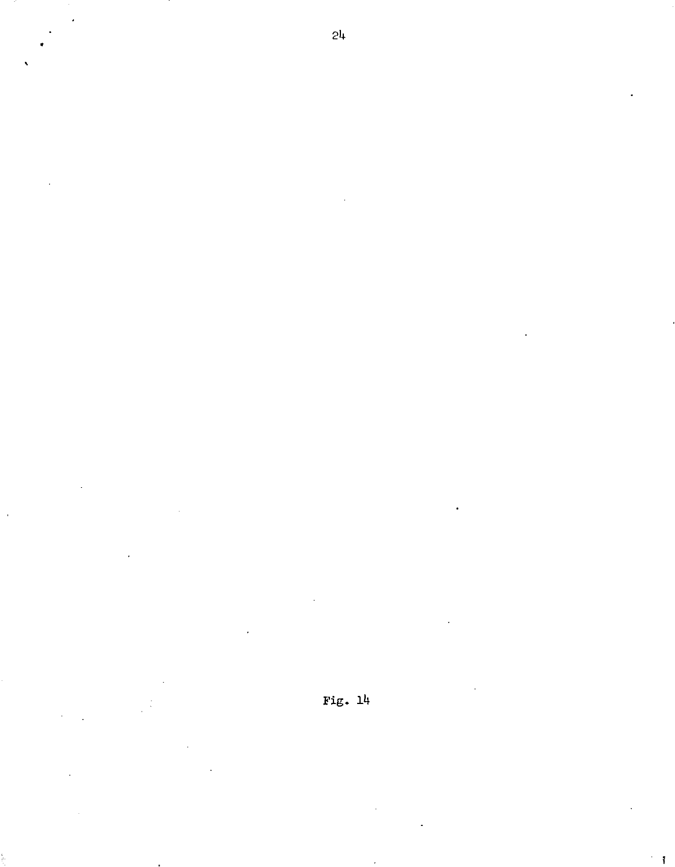

ĩ

ţ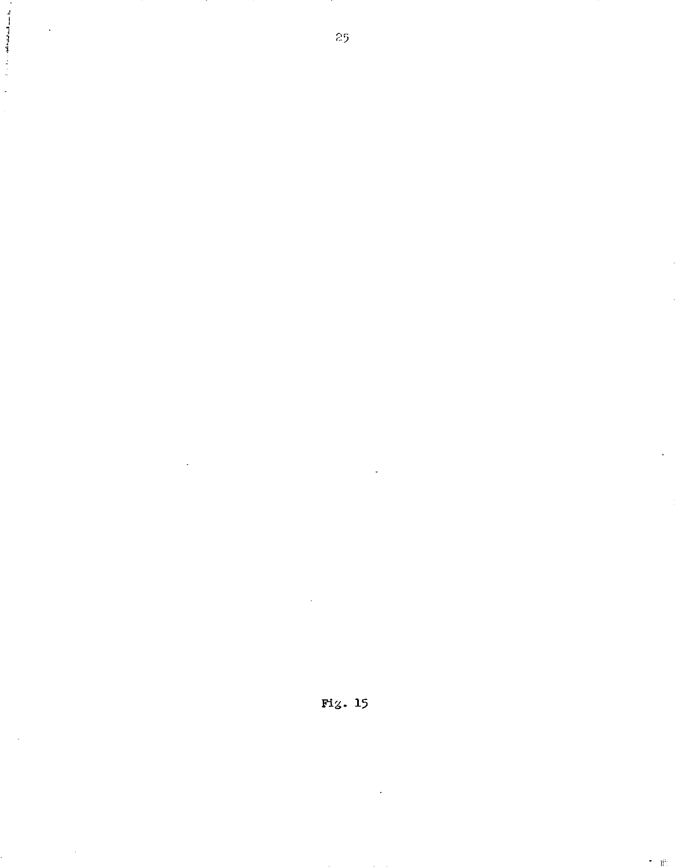

Fig. 15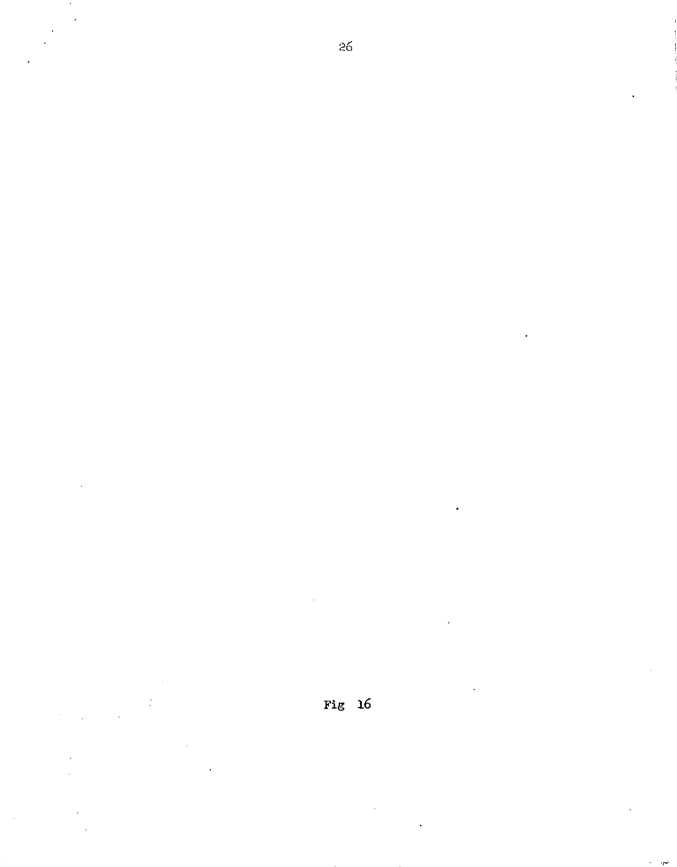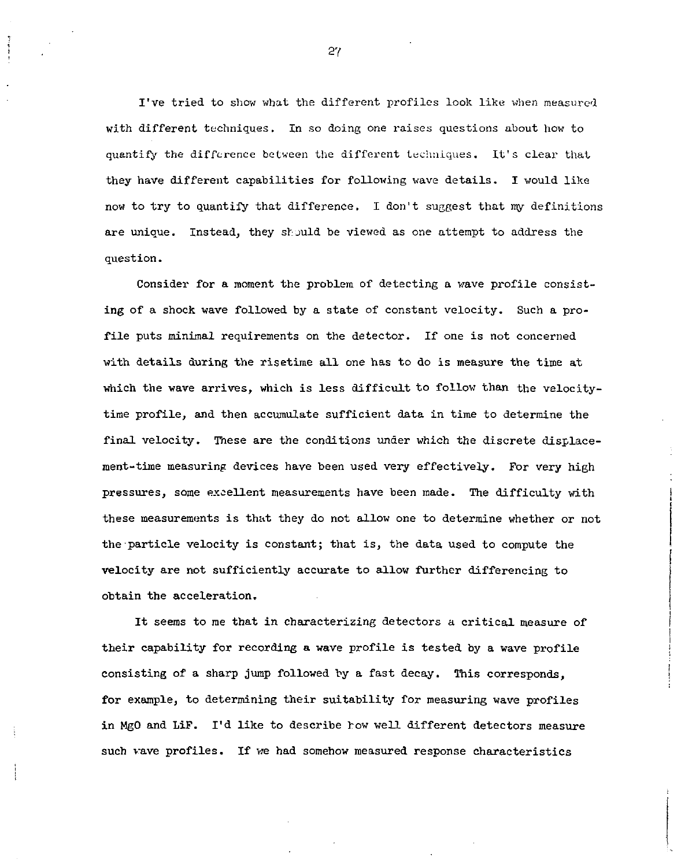I've tried to show what the different profiles look like when measured with different techniques. In so doing one raises questions about how to quantify the difference between the different techniques. It's clear that they have different capabilities for following wave details. I vould like now to try to quantify that difference. I don't suggest that my definitions are unique. Instead, they should be viewed as one attempt to address the question.

Consider for a moment the problem of detecting a wave profile consisting of a shock wave followed by a state of constant velocity. Such a profile puts minimal requirements on the detector. If one is not concerned with details during the risetime all one has to do is measure the time at which the wave arrives, which is less difficult to follow than the velocitytime profile, and then accumulate sufficient data in time to determine the final velocity. These are the conditions under which the discrete displacement-time measuring devices have been used very effectively. For very high pressures, some excellent measurements have been made. The difficulty with these measurements is that they do not allow one to determine whether or not the particle velocity is constant; that is, the data used to compute the velocity are not sufficiently accurate to allow further differencing to obtain the acceleration.

It seems to me that in characterizing detectors a critical measure of their capability for recording a wave profile is tested by a wave profile consisting of a sharp jump followed by a fast decay. This corresponds, for example, to determining their suitability for measuring wave profiles in MgO and LiF. I'd like to describe how well different detectors measure such vave profiles. If we had somehow measured response characteristics

2?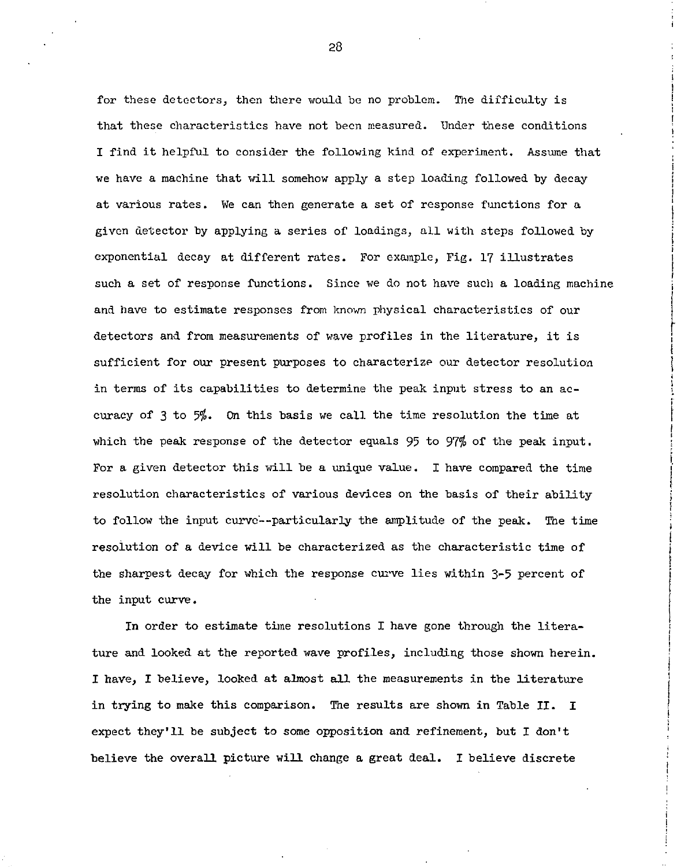for these detectors, then there would be no problem. The difficulty is that these characteristics have not been measured. Under these conditions I find it helpful to consider the following kind of experiment. Assume that we have a machine that will somehow apply a step loading followed by decay at various rates. We can then generate a set of response functions for a given detector by applying a series of loadings, all with steps followed by exponential decay at different rates. For example, Fig. 17 illustrates such a set of response functions. Since we do not have such a loading machine and have to estimate responses from known physical characteristics of our detectors and from measurements of wave profiles in the literature, it is sufficient for our present purposes to characterize our detector resolution in terms of its capabilities to determine the peak input stress to an accuracy of  $3$  to  $5\%$ . On this basis we call the time resolution the time at which the peak response of the detector equals 95 to 97% of the peak input. For a given detector this will be a unique value. I have compared the time resolution characteristics of various devices on the basis of their ability to follow the input curve'—particularly the amplitude of the peak. The time resolution of a device will be characterized as the characteristic time of the sharpest decay for which the response curve lies within 3-5 percent of the input curve.

In order to estimate time resolutions I have gone through the literature and looked at the reported wave profiles, including those shown herein. I have, I believe, looked at almost all the measurements in the literature in trying to make this comparison. The results are shown in Table II. I expect they'll be subject to some opposition and refinement, but I don't believe the overall picture will change a great deal. I believe discrete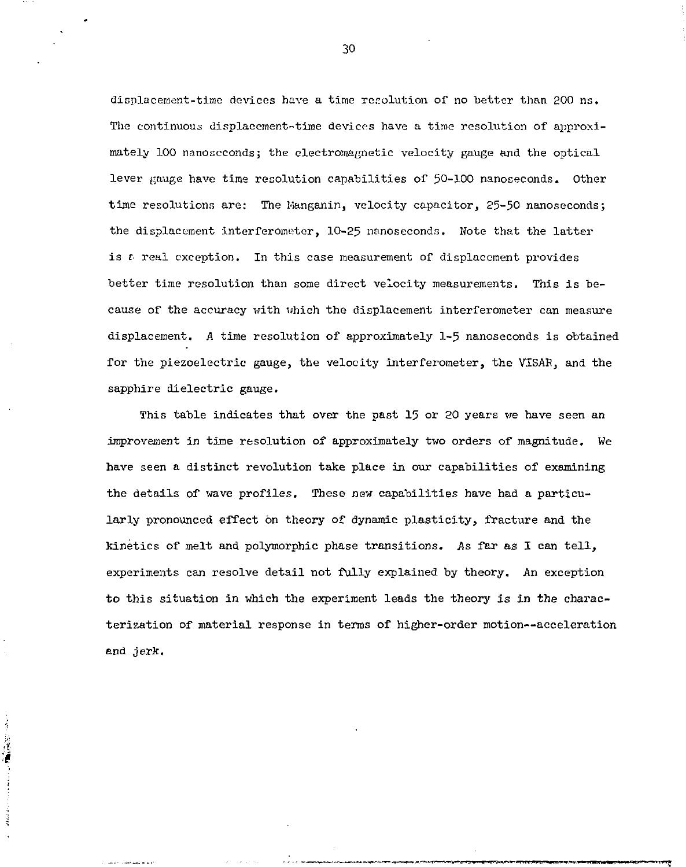displacement-time devices have a time resolution of no better than 200 ns. The continuous displacement-time devices have a time resolution of approximately 100 nanoseconds; the electromagnetic velocity gauge and the optical lever gauge have time resolution capabilities of 50-100 nanoseconds. Other time resolutions are: The Manganin, velocity capacitor, 25-50 nanoseconds; the displacement interferometer, 10-25 nanoseconds. Note that the latter is  $\iota$  real exception. In this case measurement of displacement provides better time resolution than some direct velocity measurements. This is because of the accuracy with which the displacement interferometer can measure displacement. A time resolution of approximately 1-5 nanoseconds is obtained for the piezoelectric gauge, the velocity interferometer, the VISAK, and the sapphire dielectric gauge.

This table indicates that over the past 15 or 20 years we have seen an improvement in time resolution of approximately two orders of magnitude. We have seen a distinct revolution take place in our capabilities of examining the details of wave profiles. These new capabilities have had a particularly pronounced effect on theory of dynamic plasticity, fracture and the kinetics of melt and polymorphic phase transitions. As far as I can tell, experiments can resolve detail not fully explained by theory. An exception to this situation in which the experiment leads the theory is in the characterization of material response in terms of higher-order motion—acceleration and jerk.

And of the second contract of the second contract of the second contract of the second contract of the second contract of the second contract of the second contract of the second contract of the second contract of the seco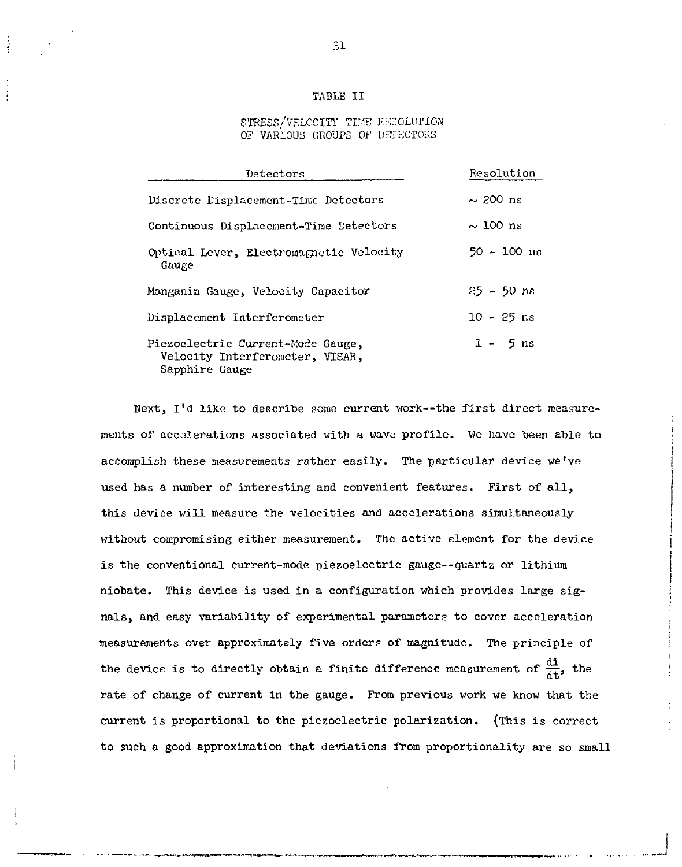#### TABLE II

#### STRESS/VELOCITY TIME RECOLUTION OF VARIOUS GROUPS OF DETECTORS

| Detectors                                                                              | Resolution    |
|----------------------------------------------------------------------------------------|---------------|
| Discrete Displacement-Time Detectors                                                   | $\sim$ 200 ns |
| Continuous Displacement-Time Detectors                                                 | $\sim$ 100 ns |
| Optical Lever, Electromagnetic Velocity<br>Gauge                                       | $50 - 100$ ns |
| Manganin Gauge, Velocity Capacitor                                                     | $25 - 50$ ns  |
| Displacement Interferometer                                                            | $10 - 25$ ns  |
| Piezoelectric Current-Node Gauge.<br>Velocity Interferometer, VISAR,<br>Sapphire Gauge | $1 - 5$ ns    |

Next, I'd like to describe some current work--the first direct measurements of accelerations associated with a wave profile. We have been able to accomplish these measurements rather easily. The particular device we've used has a number of interesting and convenient features. First of all, this device will measure the velocities and accelerations simultaneously without compromising either measurement. The active element for the device is the conventional current-mode piezoelectric gauge--quartz or lithium niobate. This device is used in a configuration which provides large signals, and easy variability of experimental parameters to cover acceleration measurements over approximately five orders of magnitude. The principle of the device is to directly obtain a finite difference measurement of  $\frac{di}{dt}$ , the rate of change of current in the gauge. From previous work we know that the current is proportional to the piezoelectric polarization. (This is correct to such a good approximation that deviations from proportionality are so small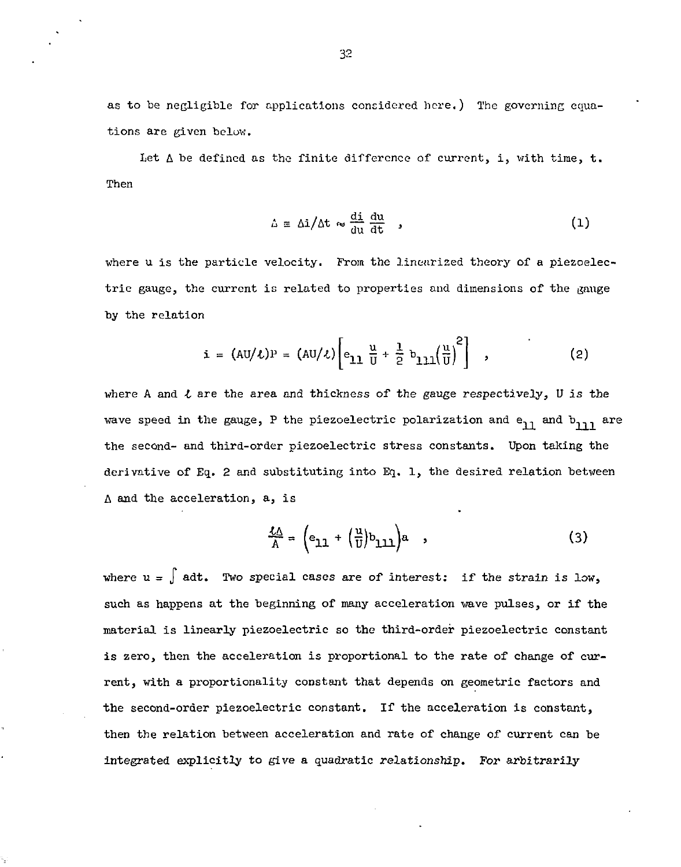as to be negligible for applications considered here.) The governing equations are given belov;.

Let  $\Delta$  be defined as the finite difference of current, i, with time, t. Then

$$
\hat{\Delta} = \Delta \hat{\mathbf{i}} / \Delta \mathbf{t} \approx \frac{d\hat{\mathbf{i}}}{d\mathbf{u}} \frac{d\mathbf{u}}{d\mathbf{t}}, \qquad (1)
$$

where u is the particle velocity. From the linearized theory of a piezoelectric gauge, the current is related to properties and dimensions of the gauge by the relation

$$
\mathbf{i} = (\mathbf{A}\mathbf{U}/\mathbf{L})\mathbf{P} = (\mathbf{A}\mathbf{U}/\mathbf{L}) \left[\mathbf{e}_{11} \frac{\mathbf{u}}{\mathbf{U}} + \frac{1}{2} \mathbf{b}_{111} \left(\frac{\mathbf{u}}{\mathbf{U}}\right)^2\right] \quad , \tag{2}
$$

where A and *t* are the area and thickness of the gauge respectively, U is the wave speed in the gauge, P the piezoelectric polarization and  $e_{11}$  and  $b_{111}$  are the second- and third-order piezoelectric stress constants. Upon taking the derivative of Eq. 2 and substituting into Eq. 1, the desired relation between A and the acceleration, a, is

$$
\frac{\lambda \Delta}{A} = \left( e_{11} + \left( \frac{u}{U} \right) b_{111} \right) a \quad , \tag{3}
$$

where  $u = \int a dt$ . Two special cases are of interest: if the strain is low, such as happens at the beginning of many acceleration wave pulses, or if the material is linearly piezoelectric so the third-order piezoelectric constant is zero, then the acceleration is proportional to the rate of change of current, with a proportionality constant that depends on geometric factors and the second-order piezoelectric constant. If the acceleration is constant, then the relation between acceleration and rate of change of current can be integrated explicitly to give a quadratic relationship. For arbitrarily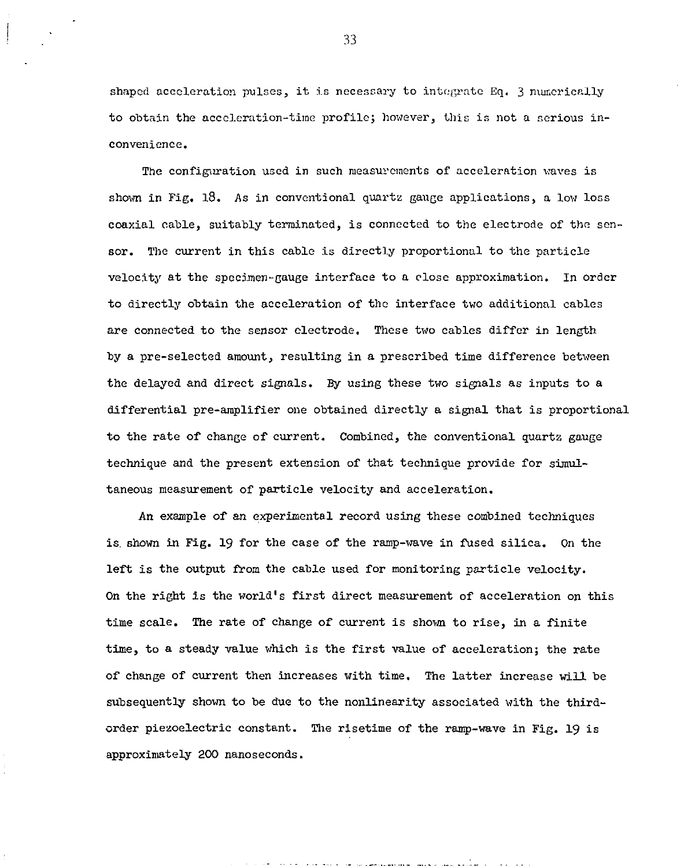shaped acceleration pulses, it is necessary to integrate Eq. 3 numerically to obtain the acceleration-time profile; however, this is not a serious inconvenience.

The configuration used in such measurements of acceleration waves is shown in Fig. 18. As in conventional quartz gauge applications, a low loss coaxial cable, suitably terminated, is connected to the electrode of the sensor. The current in this cable is directly proportional to the particle velocity at the specimen-gauge interface to a close approximation. In order to directly obtain the acceleration of the interface two additional cables are connected to the sensor electrode. These two cables differ in length by a pre-selected amount, resulting in a prescribed time difference between the delayed and direct signals. By using these two signals as inputs to a differential pre-amplifier one obtained directly a signal that is proportional to the rate of change of current. Combined, the conventional quartz gauge technique and the present extension of that technique provide for simultaneous measurement of particle velocity and acceleration.

An example of an experimental record using these combined techniques is. shown in Fig. 19 for the case of the ramp-wave in fused silica. On the left is the output from the cable used for monitoring particle velocity. On the right is the world's first direct measurement of acceleration on this time scale. The rate of change of current is shown to rise, in a finite time, to a steady value which is the first value of acceleration; the rate of change of current then increases with time. The latter increase will be subsequently shown to be due to the nonlinearity associated with the thirdorder piezoelectric constant. The risetime of the ramp-wave in Fig. 19 is approximately 200 nanoseconds.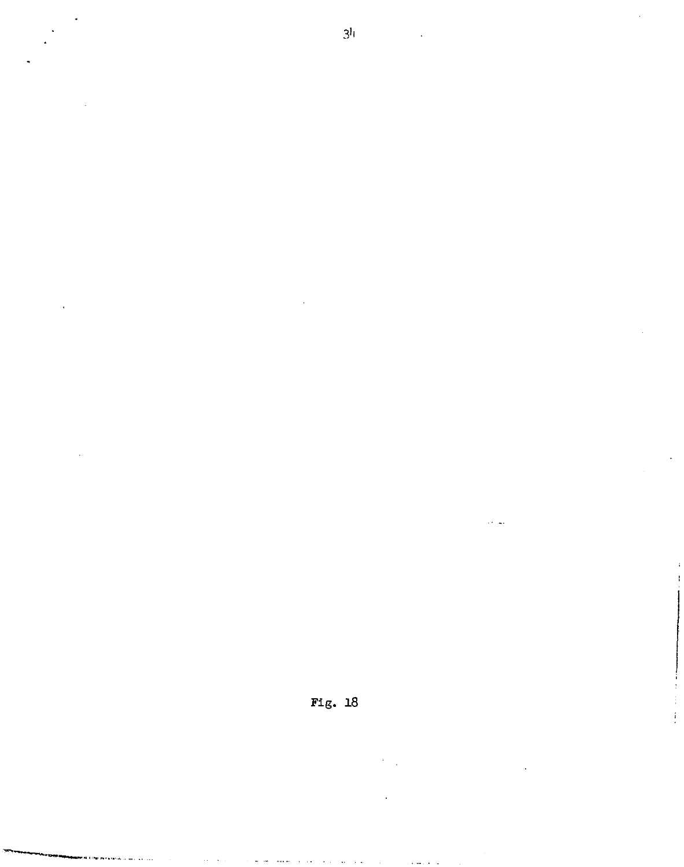

 $3<sup>1</sup>$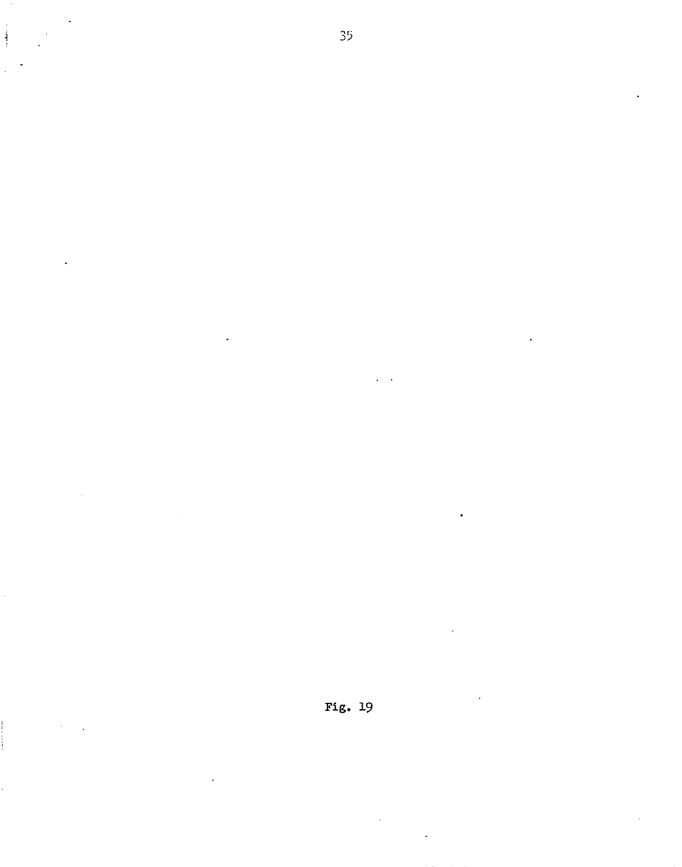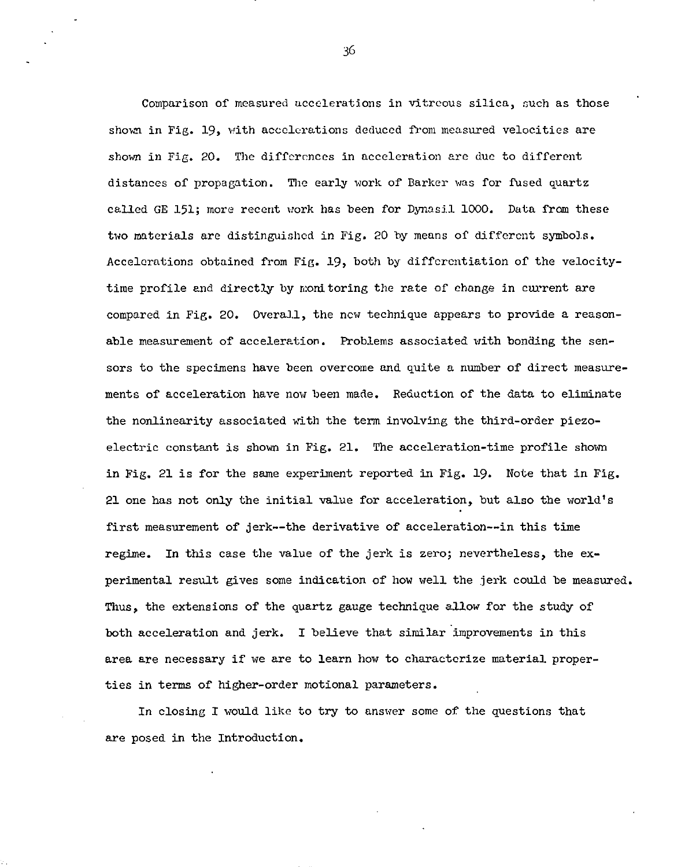Comparison of measured accelerations in vitreous silica, such as those shown in Fig. 19, with accelerations deduced from measured velocities are shown in Fig. 20. The differences in acceleration are due to different distances of propagation. The early work of Barker was for fused quartz called GE 151; more recent work has been for Dynasil 1000. Data from these two materials are distinguished in Fig. 20 by means of different symbols. Accelerations obtained from Fig. 19, both by differentiation of the velocitytime profile and directly by monitoring the rate of change in current are compared in Fig. 20. Overall, the new technique appears to provide a reasonable measurement of acceleration. Problems associated with bonding the sensors to the specimens have been overcome and quite a number of direct measurements of acceleration have now been made. Reduction of the data to eliminate the nonlinearity associated with the term involving the third-order piezoelectric constant is shown in Fig. 21. The acceleration-time profile shown in Fig. 21 is for the same experiment reported in Fig. 19. Note that in Fig. 21 one has not only the initial value for acceleration, but also the world's first measurement of jerk--the derivative of acceleration--in this time regime. In this case the value of the jerk is zero; nevertheless, the experimental result gives some indication of how well the jerk could be measured. Thus, the extensions of the quartz gauge technique allow for the study of both acceleration and jerk. I believe that similar improvements in this area are necessary if we are to learn how to characterize material properties in terms of higher-order motional parameters.

In closing I would like to try to answer some of the questions that are posed in the Introduction.

36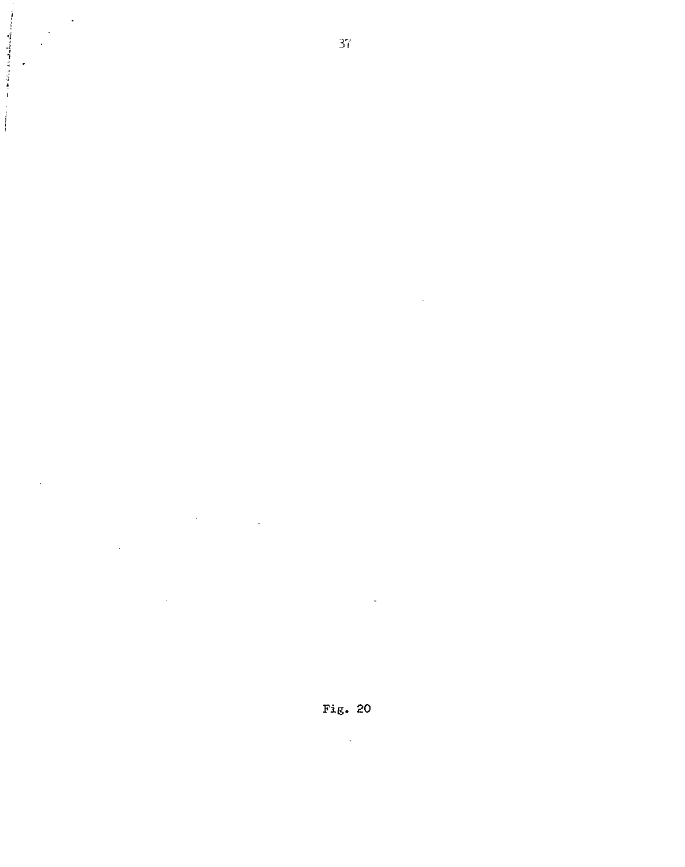

 $\begin{array}{c} \mathcal{L}_{\mathcal{A}} \rightarrow \mathcal{L}_{\mathcal{A}} \rightarrow \mathcal{L}_{\mathcal{A}} \rightarrow \mathcal{L}_{\mathcal{A}} \rightarrow \mathcal{L}_{\mathcal{A}} \rightarrow \mathcal{L}_{\mathcal{A}} \rightarrow \mathcal{L}_{\mathcal{A}} \rightarrow \mathcal{L}_{\mathcal{A}} \rightarrow \mathcal{L}_{\mathcal{A}} \rightarrow \mathcal{L}_{\mathcal{A}} \rightarrow \mathcal{L}_{\mathcal{A}} \rightarrow \mathcal{L}_{\mathcal{A}} \rightarrow \mathcal{L}_{\mathcal{A}} \rightarrow \mathcal{L}_{\mathcal{A}} \rightarrow \mathcal{L}_{\mathcal{A}} \rightarrow \mathcal$ 

 $\ddot{\phantom{a}}$ 

 $\ddot{\phantom{0}}$ 

 $\mathcal{A}(\mathcal{A})$  and  $\mathcal{A}(\mathcal{A})$  $\ddot{\phantom{a}}$  $\ddot{\phantom{0}}$ 

 $\ddot{\phantom{a}}$ 

Fig. 20  $\sim$   $\sim$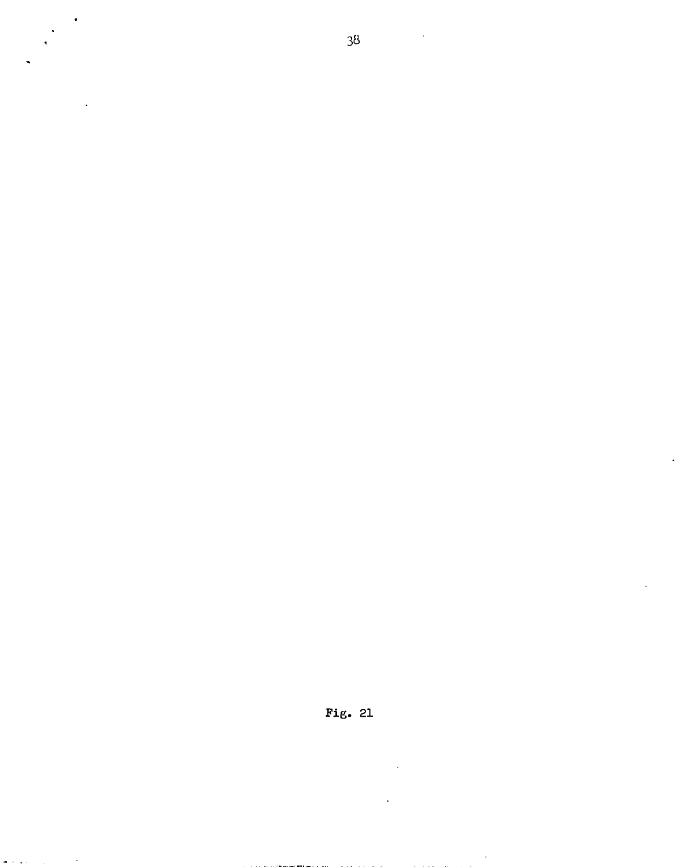

J.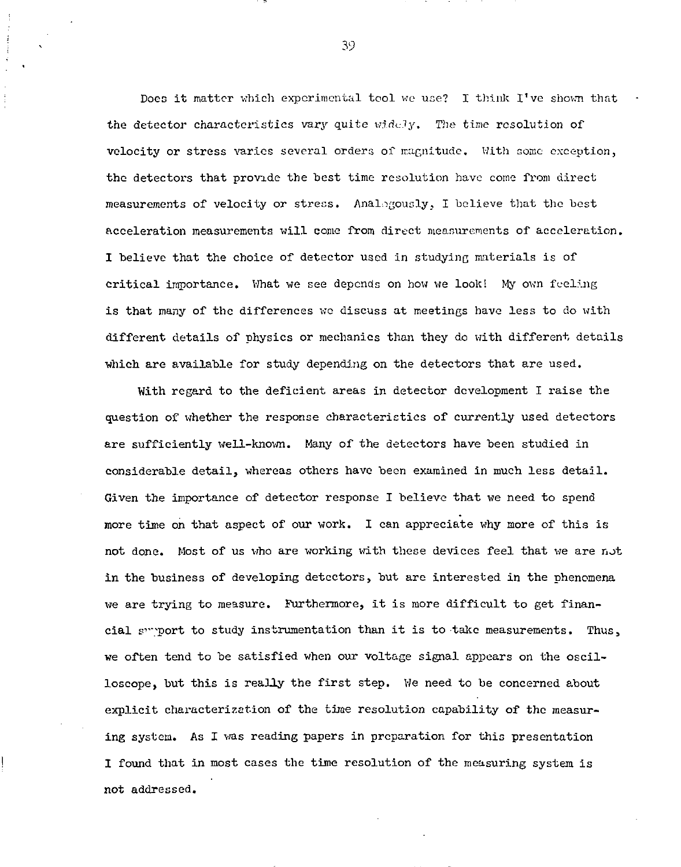Does it matter which experimental tool we use? I think I've shown that the detector characteristics vary quite widely. The time resolution of velocity or stress varies several orders of magnitude. With some exception, the detectors that provide the best time resolution have come from direct measurements of velocity or stress. Analogously, I believe that the host acceleration measurements will come from direct measurements of acceleration. I believe that the choice of detector used in studying materials is of critical importance. What we see depends on how we look! My own feeling is that many of the differences we discuss at meetings have less to do with different details of physics or mechanics than they do with different details which are available for study depending on the detectors that are used.

With regard to the deficient areas in detector development I raise the question of whether the response characteristics of currently used detectors are sufficiently well-known. Many of the detectors have been studied in considerable detail, whereas others have been examined in much less detail. Given the importance of detector response I believe that we need to spend more time on that aspect of our work. I can appreciate why more of this is **not** done. Most of us who are working with these devices feel that we are not in the business of developing detectors, but are interested in the phenomena we are trying to measure. Furthermore, it is more difficult to get financial sweport to study instrumentation than it is to take measurements. Thus, we often tend to be satisfied when our voltage signal appears on the oscilloscope, but this is really the first step. We need to be concerned about explicit characterization of the time resolution capability of the measuring system. As I was reading papers in preparation for this presentation I found that in most cases the time resolution of the measuring system is not addressed.

39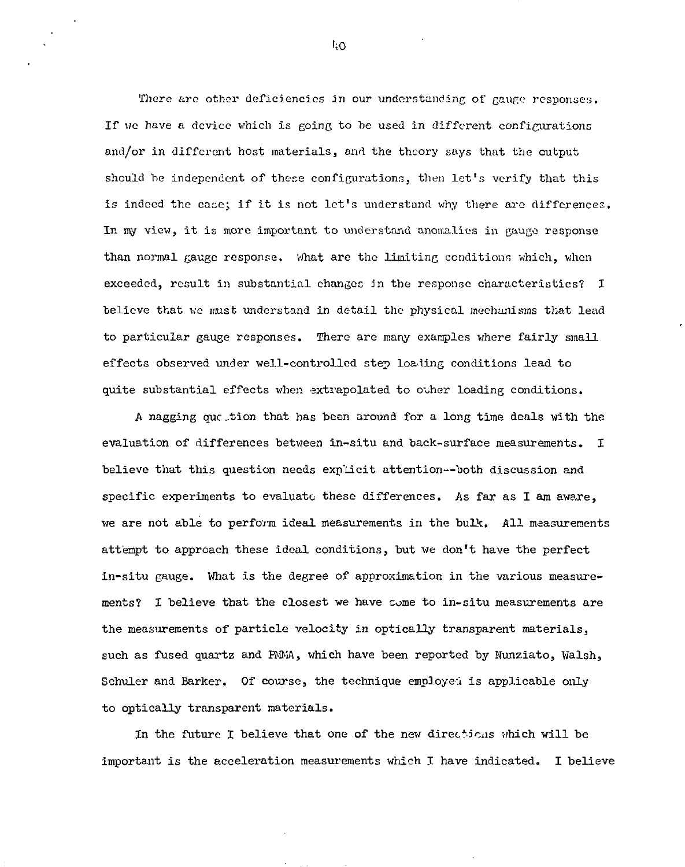There are other deficiencies in our understanding of gauge responses. If we have a device which is going to be used in different configurations and/or in different host materials, and the theory says that the output should he independent of these configurations, then let's verify that this is indeed the case; if it is not let's understand why there are differences. In my view, it is more important to understand anomalies in gauge response than normal gauge response. What are the limiting conditions which, when exceeded, result in substantial changes in the response characteristics? I believe that we must understand in detail the physical mechanisms that lead to particular gauge responses. There are many examples where fairly small effects observed under well-controlled step loading conditions lead to quite substantial effects when extrapolated to other loading conditions.

A nagging que tion that has been around for a long time deals with the evaluation of differences between in-situ and back-surface measurements. I believe that this question needs explicit attention—both discussion and specific experiments to evaluate these differences. As far as I am aware, we are not able to perform ideal measurements in the bulk. All measurements attempt to approach these ideal conditions, but we don't have the perfect in-situ gauge. What is the degree of approximation in the various measurements? I believe that the closest we have come to in-situ measurements are the measurements of particle velocity in optically transparent materials, such as fused quartz and PMNA, which have been reported by Nunziato, Walsh, Schuler and Barker. Of course, the technique employed is applicable only to optically transparent materials.

In the future I believe that one of the new directions which will be important is the acceleration measurements which I have indicated. I believe

liO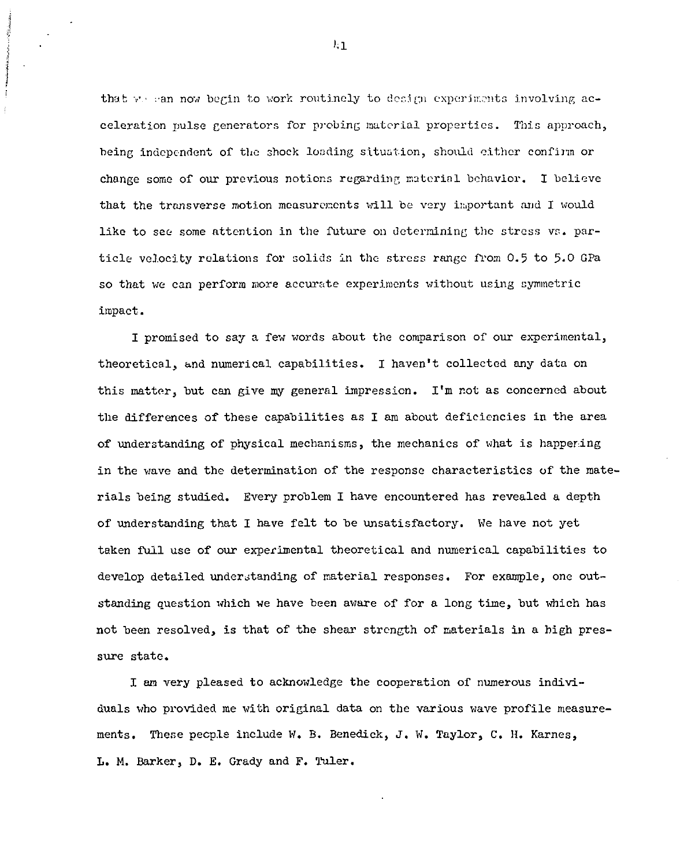that  $y_1$  an now begin to work routinely to design experiments involving acceleration pulse generators for probing material properties. This approach, being independent of the shock loading situation, should either confirm or change some of our previous notions regarding material behavior. I believe that the transverse motion measurements will be very important and I would like to see some attention in the future on determining the stress vs. particle velocity relations for solids in the stress range from 0.5 to 5-0 GPa so that we can perform more accurate experiments without using symmetric impact.

I promised to say a few words about the comparison of our experimental, theoretical, and numerical capabilities. I haven't collected any data on this matter, but can give my general impression. I'm not as concerned about the differences of these capabilities as I am about deficiencies in the area of understanding of physical mechanisms, the mechanics of what is happening in the wave and the determination of the response characteristics of the materials being studied. Every problem I have encountered has revealed a depth of understanding that I have felt to be unsatisfactory. We have not yet taken full use of our experimental theoretical and numerical capabilities to develop detailed understanding of material responses. For example, one outstanding question which we have been aware of for a long time, but which has not been resolved, is that of the shear strength of materials in a high pressure state.

I am very pleased to acknowledge the cooperation of numerous individuals who provided me with original data on the various wave profile measurements. These people include W. B. Benedick, J. W. Taylor, C. H. Karnes, L. M. Barker, D. E. Grady and F. Tuler.

**1,1** 

**CONTRACTOR**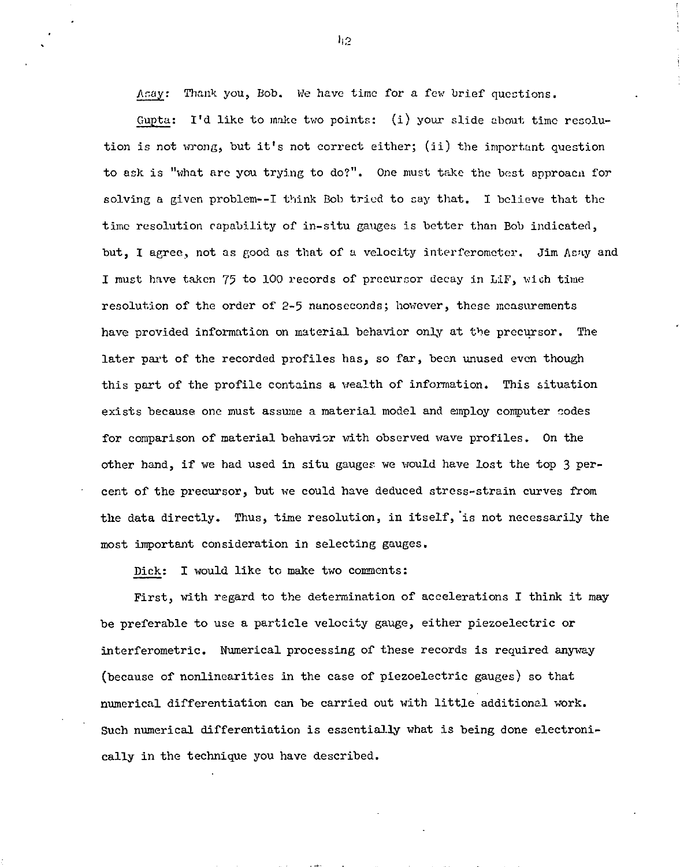Asay: Thank you, Bob. We have time for a few brief questions.

Gupta: I'd like to make two points: (i) your slide about time resolution is not wrong, but it's not correct either; (ii) the important question to ask is "what are you trying to do?". One must take the best approacn for solving a given problem—I think Bob tried to cay that. I believe that the time resolution capability of in-situ gauges is better than Bob indicated, but, I agree, not as good as that of a velocity interferometer. Jim Asay and I must have taken 75 to 100 records of precursor decay in LiF, uioh time resolution of the order of 2-5 nanoseconds; however, these measurements have provided information on material behavior only at the precursor. The later part of the recorded profiles has, so far, been unused even though this part of the profile contains a wealth of information. This situation exists because one must assume a material model and employ computer codes for comparison of material behavior with observed wave profiles. On the other hand, if we had used in situ gauges we would have lost the top 3 percent of the precursor, but we could have deduced stress-strain curves from the data directly. Thus, time resolution, in itself, 'is not necessarily the most important consideration in selecting gauges.

Dick: I would like to make two comments:

First, with regard to the determination of accelerations I think it may be preferable to use a particle velocity gauge, either piezoelectric or interferometric. Numerical processing of these records is required anyway (because of nonlinearities in the case of piezoelectric gauges) so that numerical differentiation can be carried out with little additional work. Such numerical differentiation is essentially what is being done electronically in the technique you have described.

 $h2$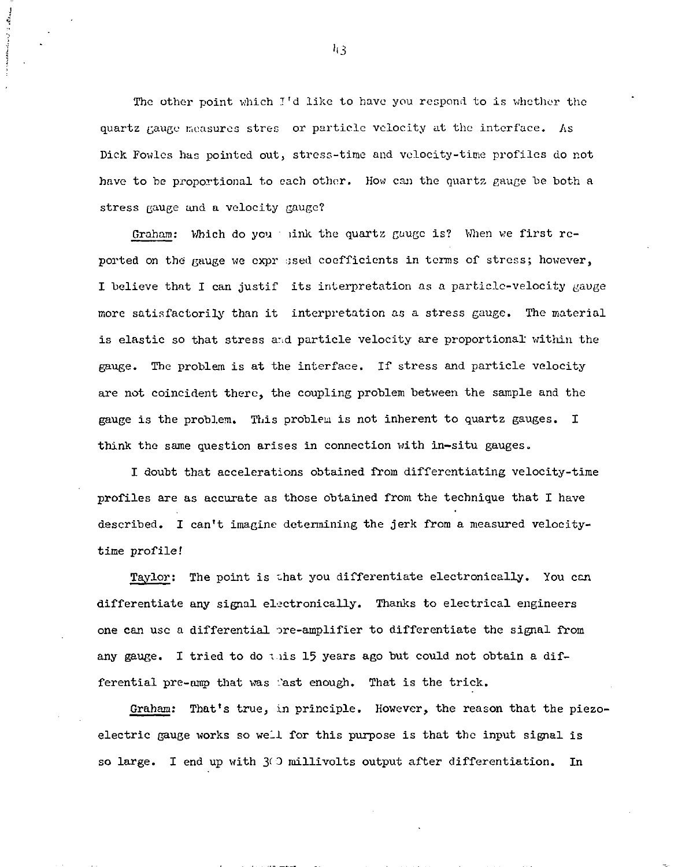The other point which I'd like to have you respond to is whether the quartz gauge measures stres or particle velocity at the interface. As Dick Fowlcs has pointed out, stress-time and velocity-time profiles do not have to be proportional to each other. How can the quartz gauge be both a stress gauge and a velocity gauge?

Graham: Which do you ink the quartz gauge is? When we first reported on the gauge we expr ssed coefficients in terms of stress; however, I believe that I can justif its interpretation as a particle-velocity gauge more satisfactorily than it interpretation as a stress gauge. The material is elastic so that stress and particle velocity are proportional within the gauge. The problem is at the interface. If stress and particle velocity are not coincident there, the coupling problem between the sample and the gauge is the problem. This probleu is not inherent to quartz gauges. I think the same question arises in connection with in-situ gauges.

I doubt that accelerations obtained from differentiating velocity-time profiles are as accurate as those obtained from the technique that I have described. I can't imagine determining the jerk from a measured velocitytime profile!

Taylor: The point is that you differentiate electronically. You can differentiate any signal electronically. Thanks to electrical engineers one can use a differential ore-amplifier to differentiate the signal from any gauge. I tried to do this 15 years ago but could not obtain a differential pre-amp that was fast enough. That is the trick.

Graham: That's true, in principle. However, the reason that the piezoelectric gauge works so well for this purpose is that the input signal is so large. I end up with 300 millivolts output after differentiation. In

 $h<sub>3</sub>$ 

Constitutional Control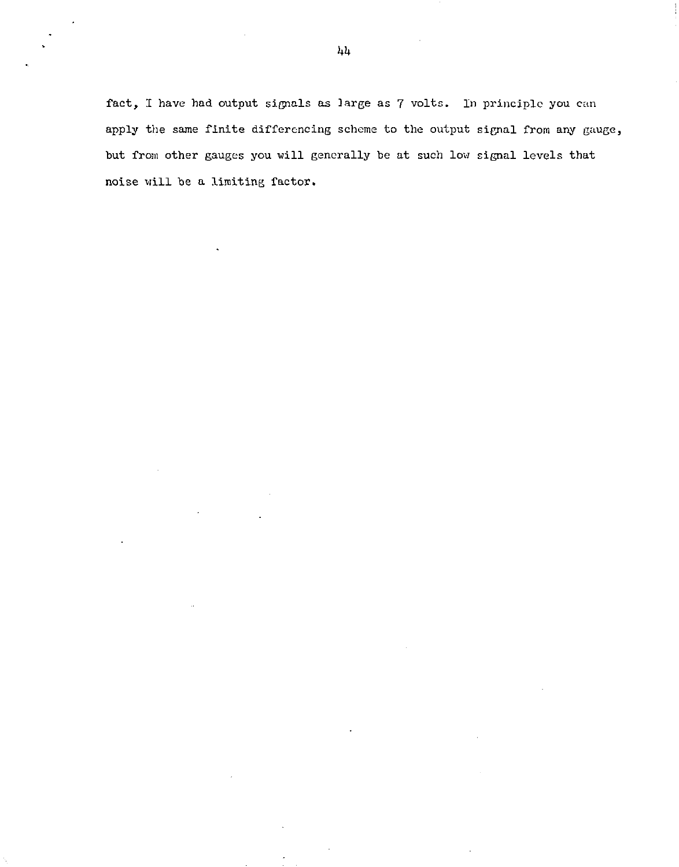fact, I have had output signals *as* Jarge as 7 volts. In principle you can apply the same finite differencing scheme to the output signal from any gauge, but from other gauges you will generally be at such low signal levels that noise will he a limiting factor.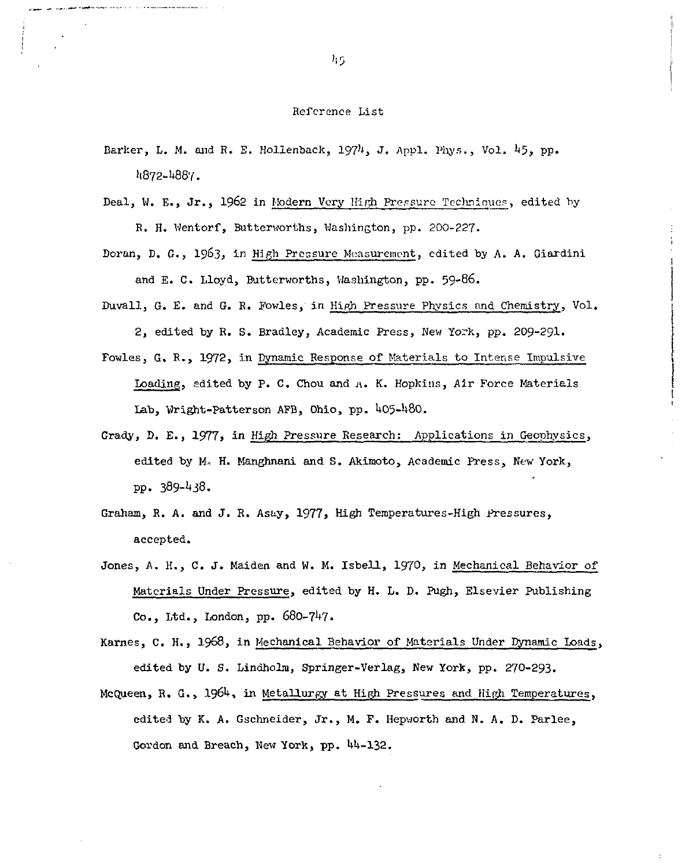## Reference List

- Deal, W. E., Jr., 1962 in Modern Very High Pressure Techniques, edited by R. H. Wentorf, Butterworths, Washington, pp. 200-227.
- Doran, D. G., I963, in High Pressure Measurement, edited by A. A. Giardini and E. C. Lloyd, Butterworths, Washington, pp. 59-86.
- Duvall, G. E. and G. E. Fowles, in High Pressure Physics and Chemistry, Vol. 2, edited by E. S. Bradley, Academic Press, New York, pp. 209-291.
- Fowles, G. R., 1972, in Dynamic Response of Materials to Intense Impulsive Loading, edited by P. C. Chou and  $n$ . K. Hopkins, Air Force Materials Lab, Wright-Patterson AFB, Ohio, pp. 405-480.
- Grady, D. E., 1977, in High Pressure Research: Applications in Geophysics, edited by M, H. Manghnani and S. Akimoto, Academic Press, New York, pp. 389-438.
- Graham, R. A. and J. R. Asay, 1977, High Temperatures-High pressures, accepted.
- Jones, A. H,, C. J. Maiden and W. M. Isbell, 1970, in Mechanical Behavior of Matcrials Under Pressure, edited by H. L. D. Pugh, Elsevier Publishing Co., Ltd., London, pp. 680-7^7.

Karnes, C. H., 1968, in Mechanical Behavior of Materials Under Dynamic Loads, edited by U. S. Lindholm, Springer-Verlag, New York, pp. 270-293.

McQueen, R. G., *iS6k,* in Metallurgy at High Pressures and High Temperatures, edited by K. A. Gschneider, Jr., M. F. Hepworth and N. A. D. Parlee, Gordon and Breach, New York, pp. 44-132.

 $\eta_5$ 

Barker, L. M. and R. E. Hollenback, 197'\*, J. Appl. Phys., Vol. *k\$,* pp. I1872-U887.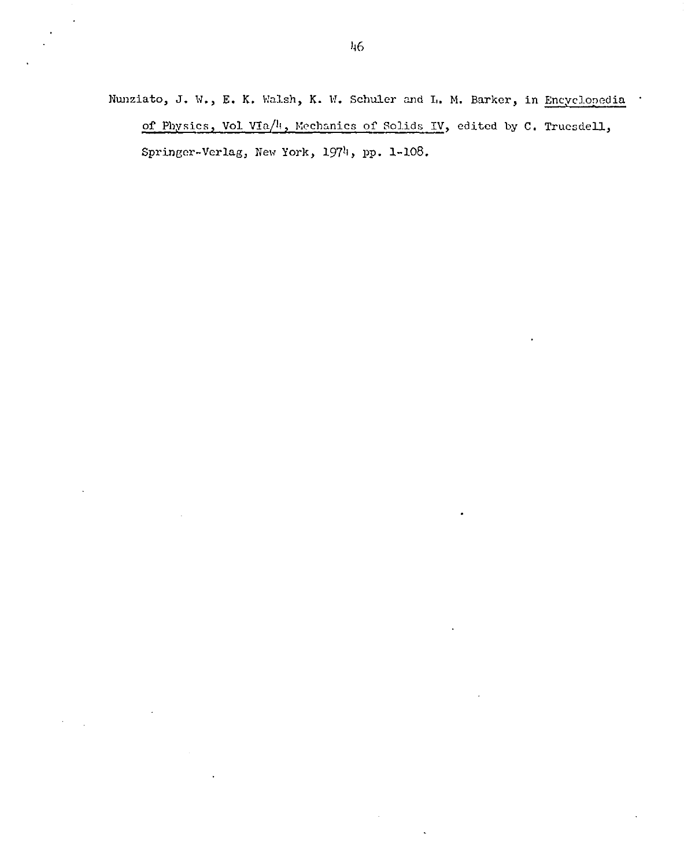Nunziato, J. W., E. K. Walsh, K. W. Schuler and L. M. Barker, in Encyclopedia of Physics, Vol VIa/4, Mechanics of Solids IV, edited by C. Trucsdell, Springer-Verlag, New York, 1974, pp. 1-108.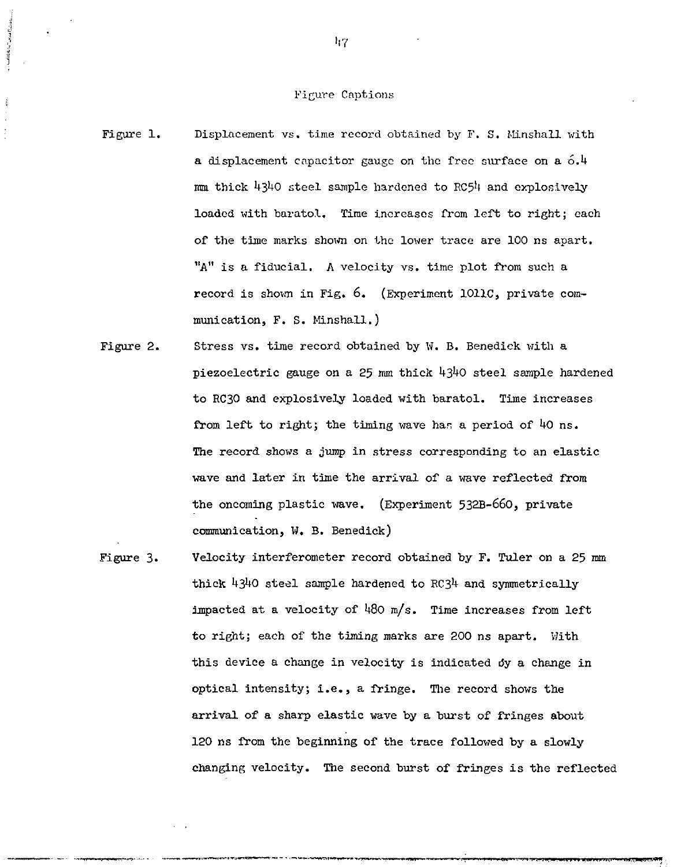## Figure Captions

- Figure 1. Displacement vs. time record obtained by F. S. Minshall with a displacement capacitor gauge on the free surface on a *o.k*  mm thick 4340 steel sample hardened to RC54 and explosively loaded with baratol. Time increases from left to right; each of the time marks shown on the lower trace are 100 ns apart. "A" is a fiducial. A velocity vs. time plot from such a record is shown in Fig. 6. (Experiment 1011C, private communication, F. S. Minshall.)
- Figure 2. Stress vs. time record obtained by W. B. Benedick with a piezoelectric gauge on a 25 mm thick  $43^{10}$  steel sample hardened to RC30 and explosively loaded with baratol. Time increases from left to right; the timing wave has a period of *kO* ns. The record shows a jump in stress corresponding to an elastic wave and later in time the arrival of a wave reflected from the oncoming plastic wave. (Experiment 532B-660, private communication, W. B. Benedick)
- Figure 3. Velocity interferometer record obtained by F. Tuler on a 25 mm thick  $4340$  steel sample hardened to RC3 $4$  and symmetrically impacted at a velocity of  $480$  m/s. Time increases from left to right; each of the timing marks are 200 ns apart. With this device a change in velocity is indicated by a change in optical intensity; i.e., a fringe. The record shows the arrival of a sharp elastic wave by a burst of fringes about 120 ns from the beginning of the trace followed by a slowly changing velocity. The second burst of fringes is the reflected

1:7

**. Little Grant Load** 

ţ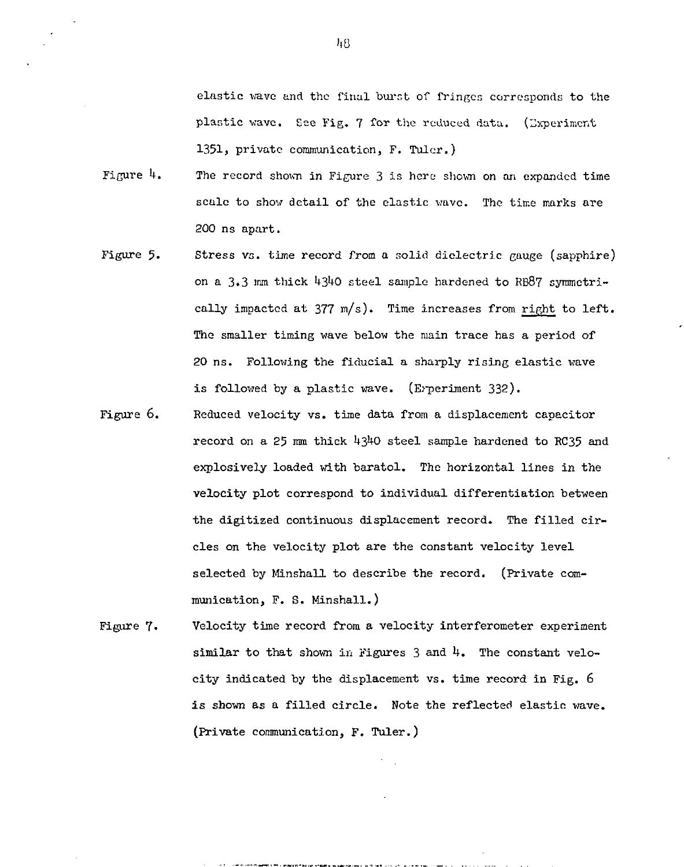elastic wave and the final burst of fringes corresponds to the plastic wave. See Fig. 7 for the reduced data. (Experiment 1351, private communication, F. Tuler.)

- Figure  $\mu$ . The record shown in Figure 3 is here shown on an expanded time scale to show detail of the elastic wave. The time marks are 200 ns apart.
- Figure 5. Stress vs. time record from a solid dielectric gauge (sapphire) on a  $3.3$  mm thick  $4340$  steel sample hardened to RB87 symmetrically impacted at 377 m/s). Time increases from right to left. The smaller timing wave below the main trace has a period of 20 ns. Following the fiducial a sharply rising elastic wave is followed by a plastic wave. (Experiment 332).
- Figure 6. Reduced velocity vs. time data from a displacement capacitor record on a 25 mm thick  $4340$  steel sample hardened to RC35 and explosively loaded with baratol. The horizontal lines in the velocity plot correspond to individual differentiation between the digitized continuous displacement record. The filled circles on the velocity plot are the constant velocity level selected by Minshall to describe the record. (Private communication, F. S. Minshall.)
- Figure 7. Velocity time record from a velocity interferometer experiment similar to that shown in Figures 3 and *k.* The constant velocity indicated by the displacement vs. time record in Fig. 6 is shown as a filled circle. Note the reflected elastic wave. (Private communication, F. Tuler.)

48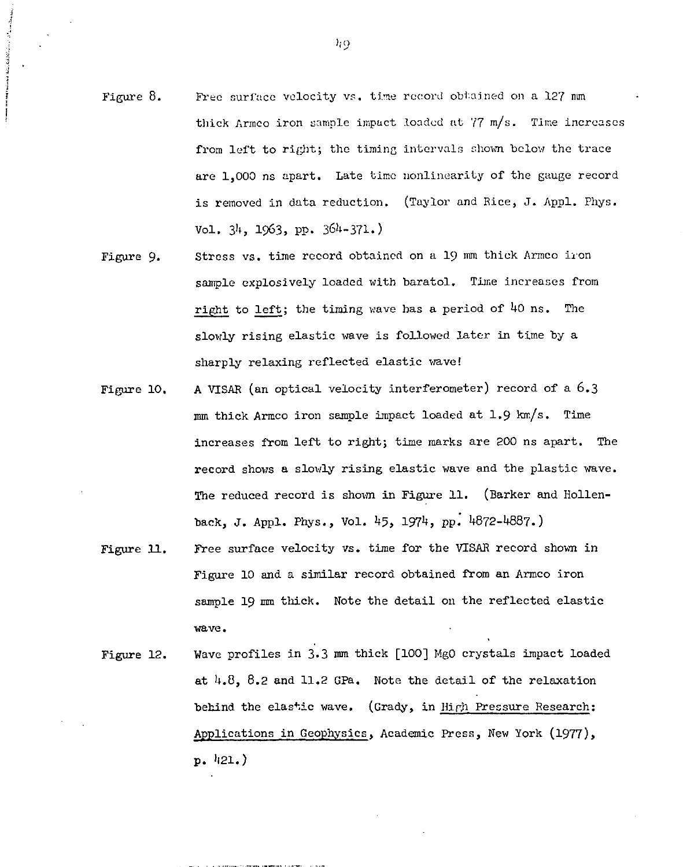- Figure 8. Free surface velocity vs. time record obtained on a 127 nm thick Armco iron sample impact loaded at 77 m/s. Time increases from left to right; the timing intervals shown below the trace are 1,000 ns apart. Late time nonlinearity of the gauge record is removed in data reduction. (Taylor and Rice, J. Appl. Phys.  $Vol. 3<sup>1</sup>$ , 1963, pp. 36<sup>1</sup>-371.)
- Figure 9. Stress vs. time record obtained on a 19 mm thick Armco iron sample explosively loaded with baratol. Time increases from right to left; the timing wave has a period of *kO* ns. The slowly rising elastic wave is followed later in time by a sharply relaxing reflected elastic wave!
- Figure 10. A VISAR (an optical velocity interferometer) record of a 6.3 mm thick Armco iron sample impact loaded at 1.9 km/s. Time increases from left to right; time marks are 200 ns apart. The record shows a slowly rising elastic wave and the plastic wave. The reduced record is shown in Figure 11. (Barker and Hollenback, J. Appl. Phys., Vol. 45, 1974, pp.  $4872-4887$ .)
- Figure 11. Free surface velocity vs. time for the VISAR record shown in Figure 10 and a similar record obtained from an Armco iron sample 19 mm thick. Note the detail on the reflected elastic wave.
- Figure 12. Wave profiles in 3-3 mm thick [100] MgO crystals impact loaded at 4.8, 8.2 and 11.2 GPa. Note the detail of the relaxation behind the elastic wave. (Grady, in High Pressure Research: Applications in Geophysics, Academic Press, New York (1977)*>*   $p.$  421.)

 $h_i \Omega$ 

 $\label{eq:reduced} \begin{split} \mathbf{P}_{\text{in}}(\mathbf{P}_{\text{in}}) = \mathbf{P}_{\text{in}}(\mathbf{P}_{\text{in}}) \mathbf{P}_{\text{in}}(\mathbf{P}_{\text{in}}) \mathbf{P}_{\text{in}}(\mathbf{P}_{\text{in}}) \mathbf{P}_{\text{in}}(\mathbf{P}_{\text{in}}) \mathbf{P}_{\text{in}}(\mathbf{P}_{\text{in}}) \mathbf{P}_{\text{in}}(\mathbf{P}_{\text{in}}) \mathbf{P}_{\text{in}}(\mathbf{P}_{\text{in}}) \mathbf{P}_{\text{in}}(\mathbf{P}_{\text{in}}$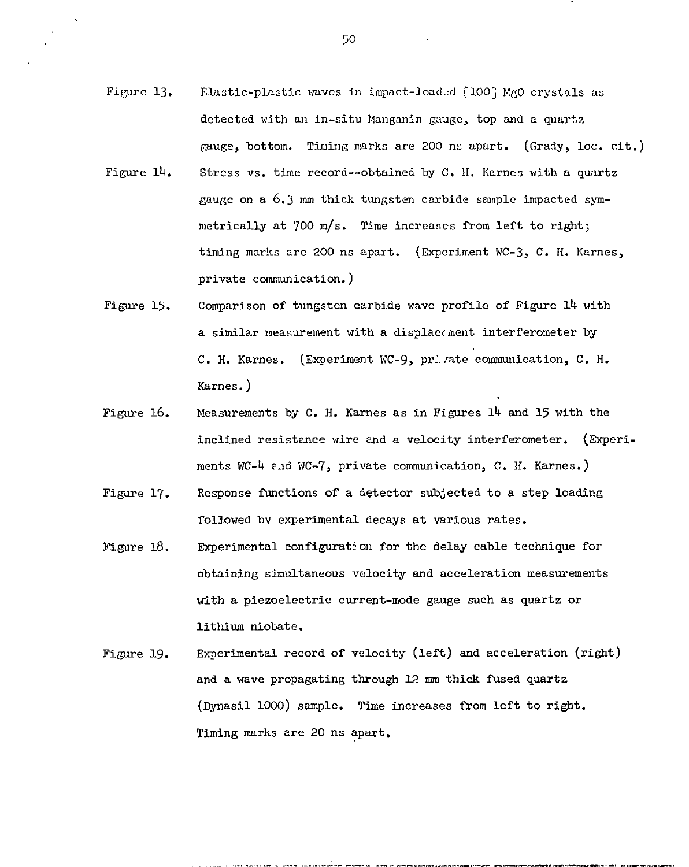- Figure 13. Elastic-plastic waves in impact-loaded [100] KgO crystals as detected with an in-situ Manganin gauge, top and a quartz gauge, bottom. Timing marks are 200 ns apart. (Grady, loc. cit.)
- Figure  $14.$  Stress vs. time record--obtained by C. II. Karnes with a quartz gauge on a 6.3 ram thick tungsten carbide sample impacted symmetrically at  $700 \text{ m/s}$ . Time increases from left to right; timing marks are 200 ns apart. (Experiment WC-3, C. H. Karnes, private communication.)
- Figure 15. Comparison of tungsten carbide wave profile of Figure  $14$  with a similar measurement with a displacement interferometer by C. H. Karnes. (Experiment WC-9, private communication, C. H. Karnes.)
- Figure 16. Measurements by C. H. Karnes as in Figures *ik* and 15 with the inclined resistance wire and a velocity interferometer. (Experiments WC-4 and WC-7, private communication, C. H. Karnes.)
- Figure 17. Response functions of a detector subjected to a step loading followed by experimental decays at various rates.
- Figure 18. Experimental configuration for the delay cable technique for obtaining simultaneous velocity and acceleration measurements with a piezoelectric current-mode gauge such as quartz or lithium niobate.
- Figure 19. Experimental record of velocity (left) and acceleration (right) and a wave propagating through 12 mm thick fused quartz (Dynasil 1000) sample. Time increases from left to right. Timing marks are 20 ns apart.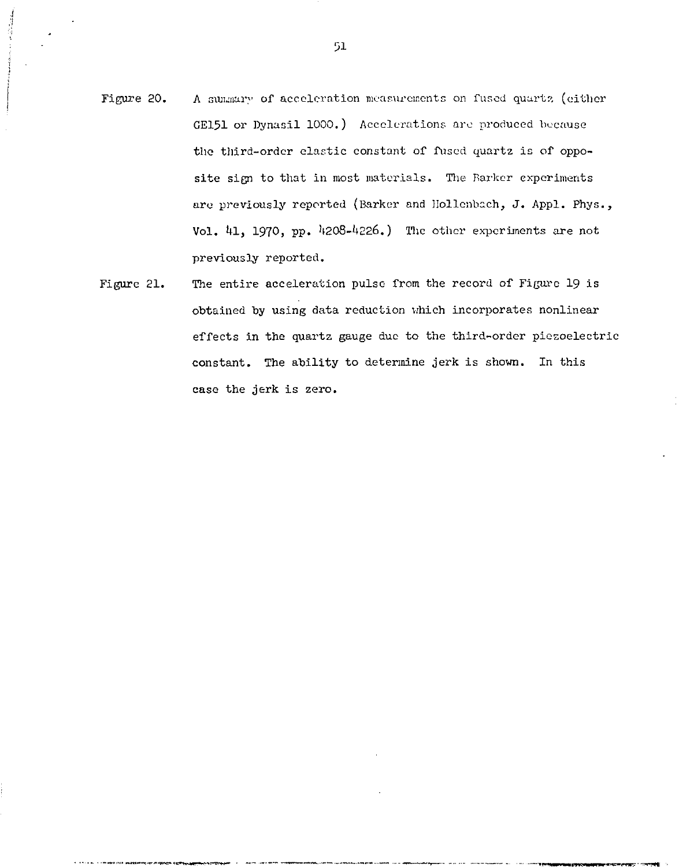- Figure 20. A summary of acceleration measurements on fused quartz (either GE151 or Dynasil 1000.) Accelerations are produced because the third-order elastic constant of fused quartz is of opposite sign to that in most materials. The Barker experiments are previously reported (Barker and Hollenbach, J. Appl. Phys., Vol. 41, 1970, pp. 4208-4226.) The other experiments are not previously reported.
- Figure 21. The entire acceleration pulse from the record of Figure 19 is obtained by using data reduction which incorporates nonlinear effects in the quartz gauge due to the third-order piezoelectric constant. The ability to determine jerk is shown. In this case the jerk is zero.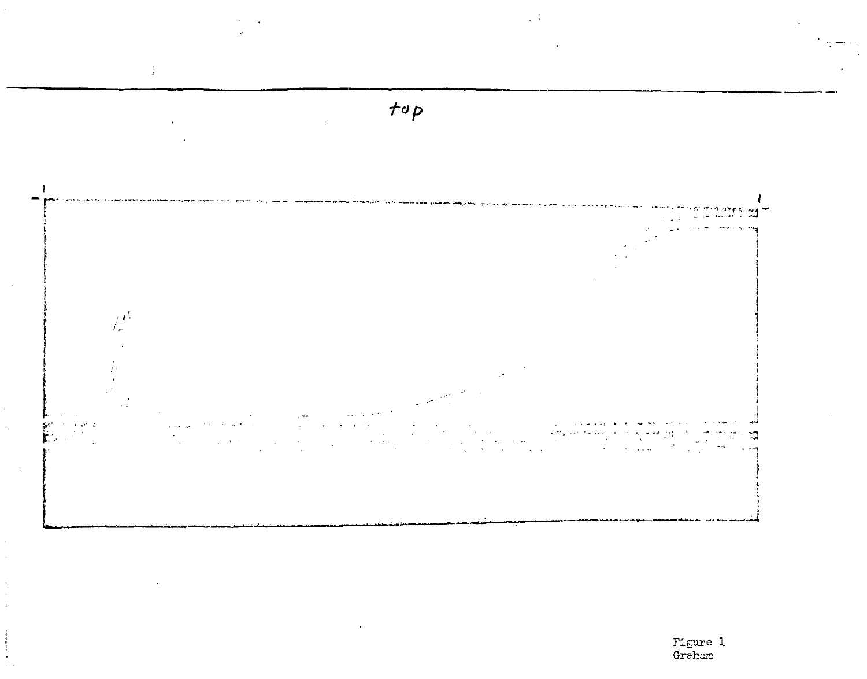

Figure 1<br>Graham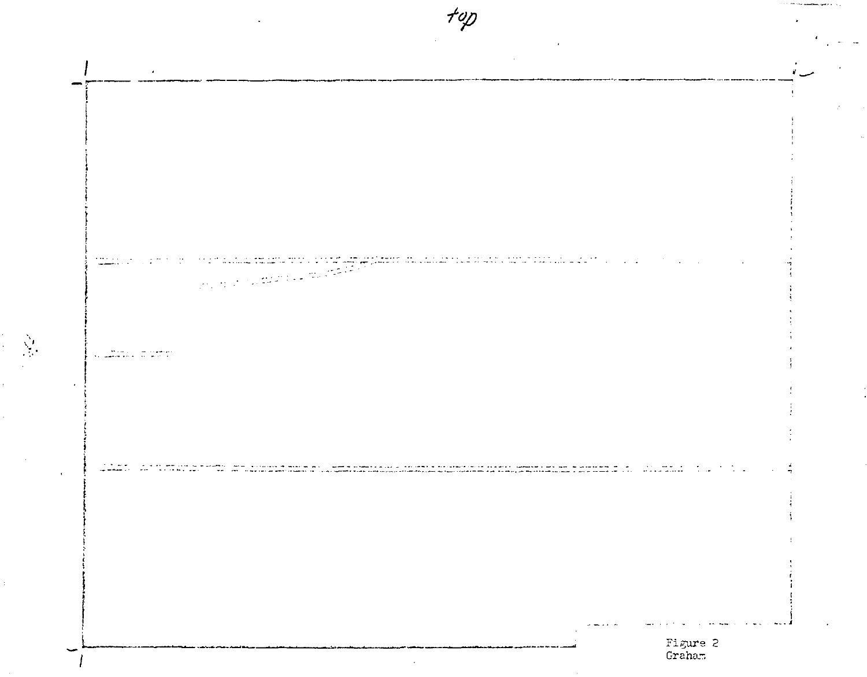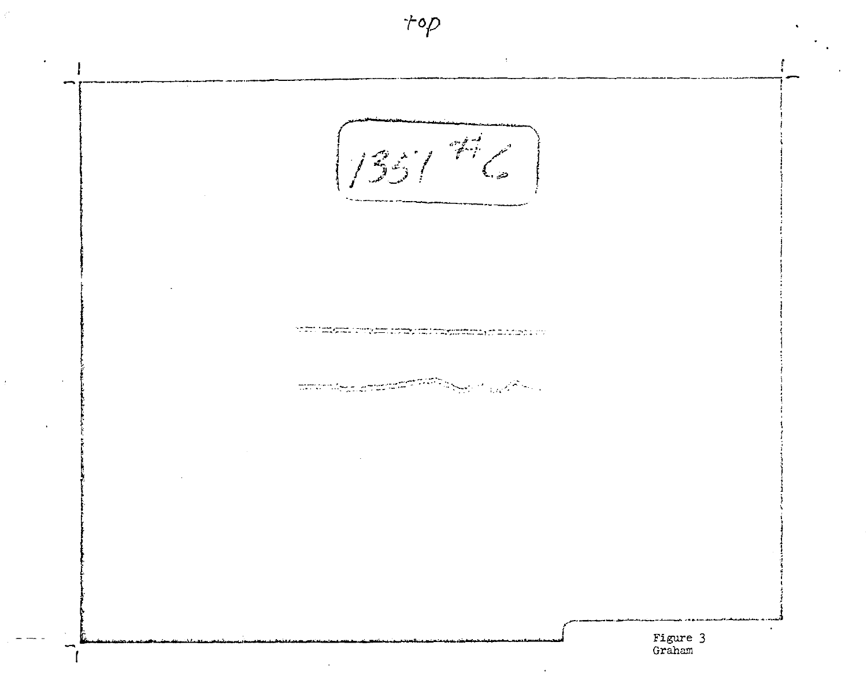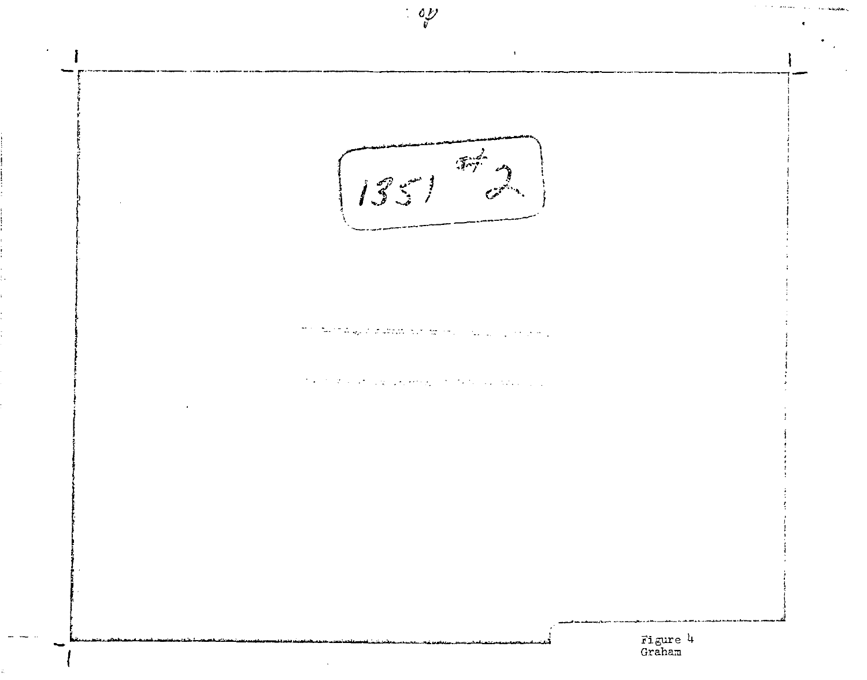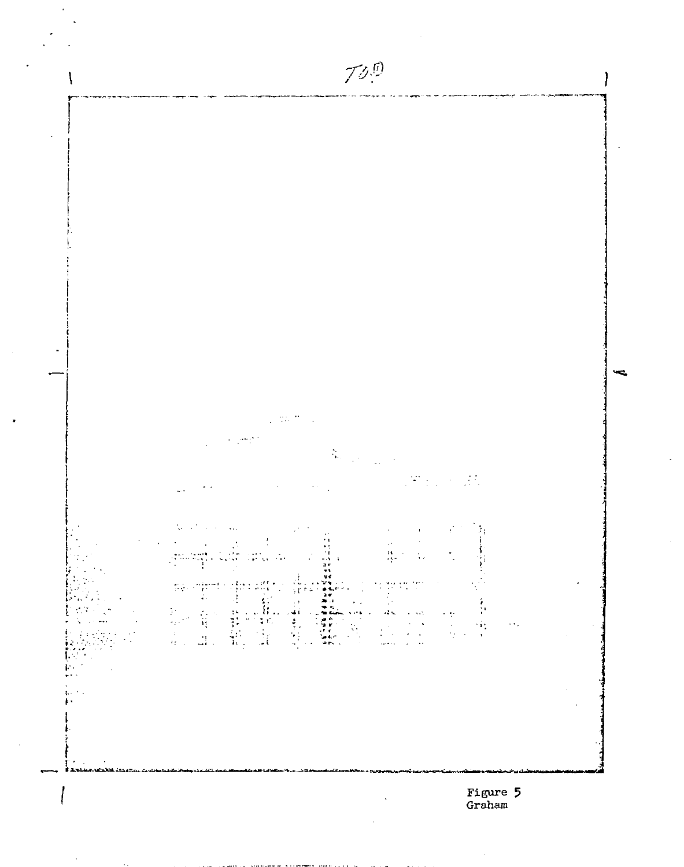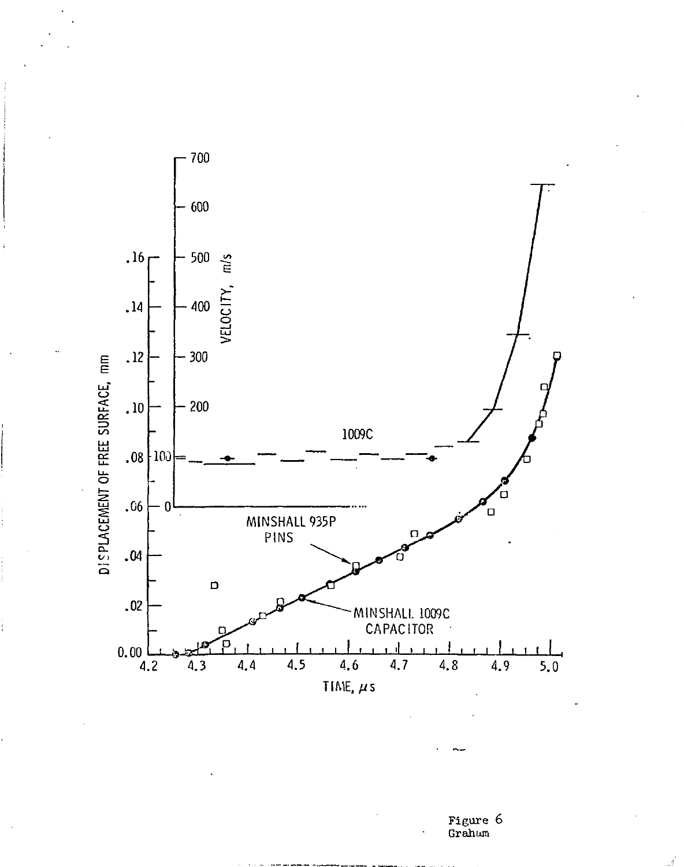

Figure 6<br>Graham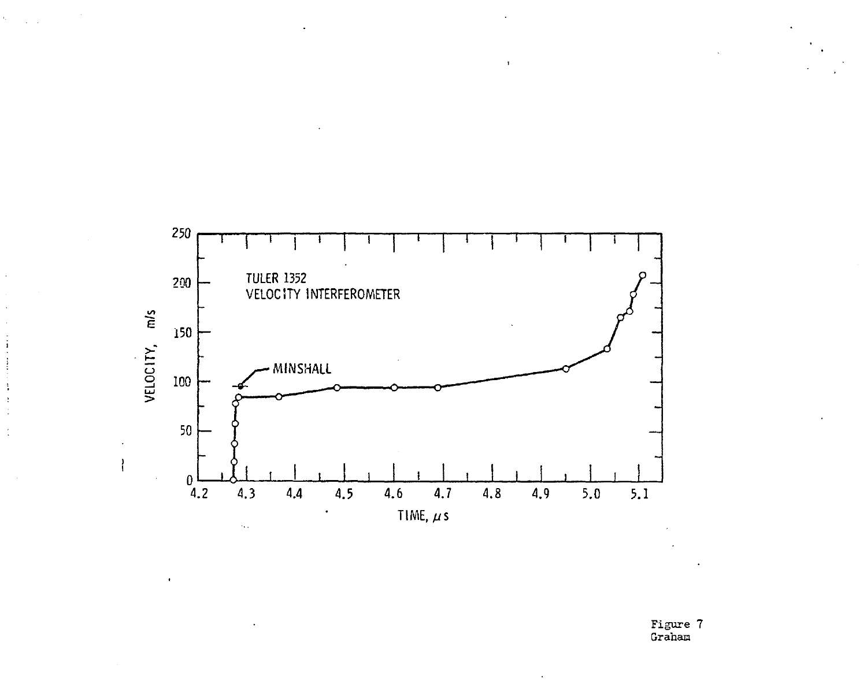

 $\mathbf{r}$ 

Figure 7 Graham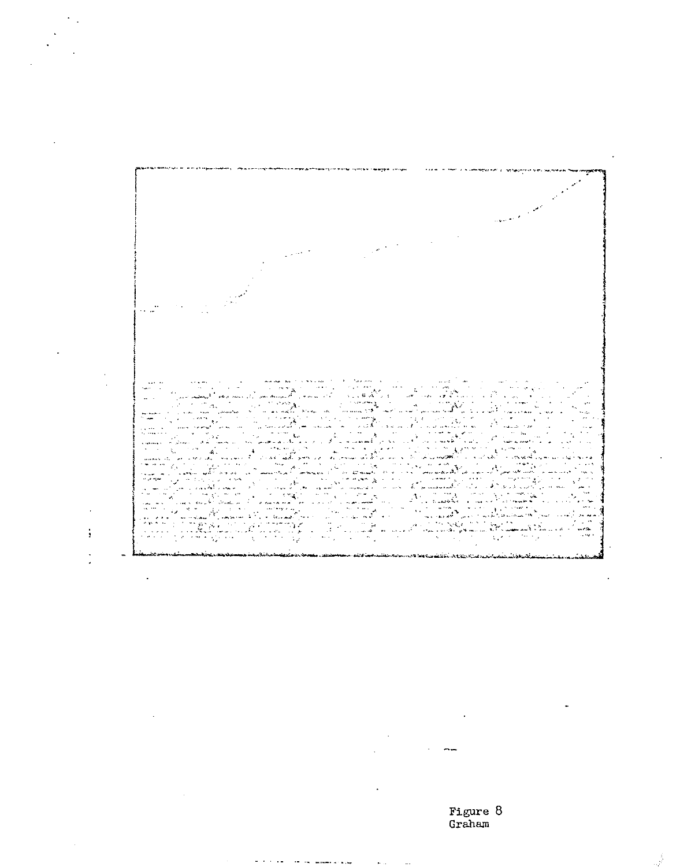

Figure 8<br>Graham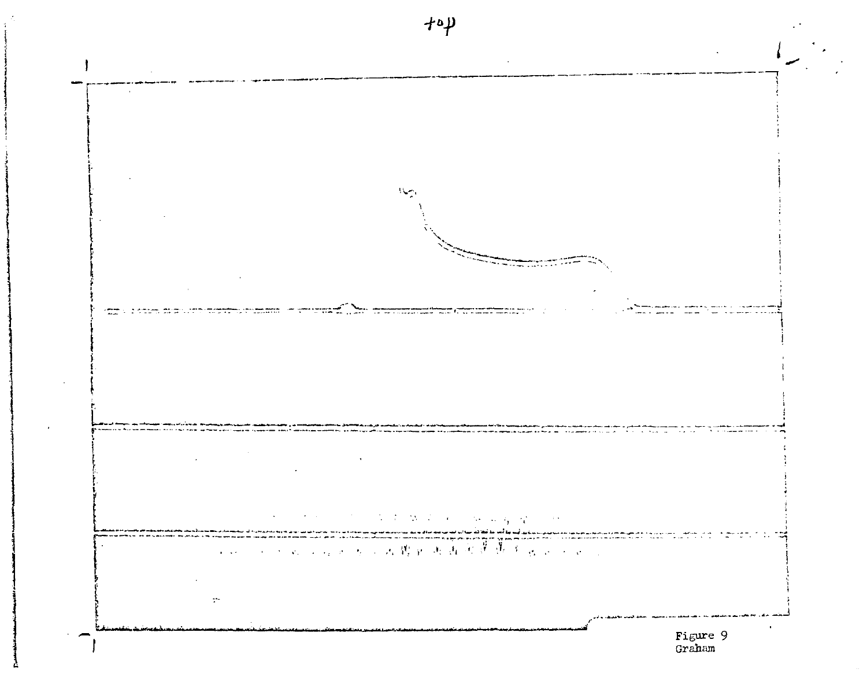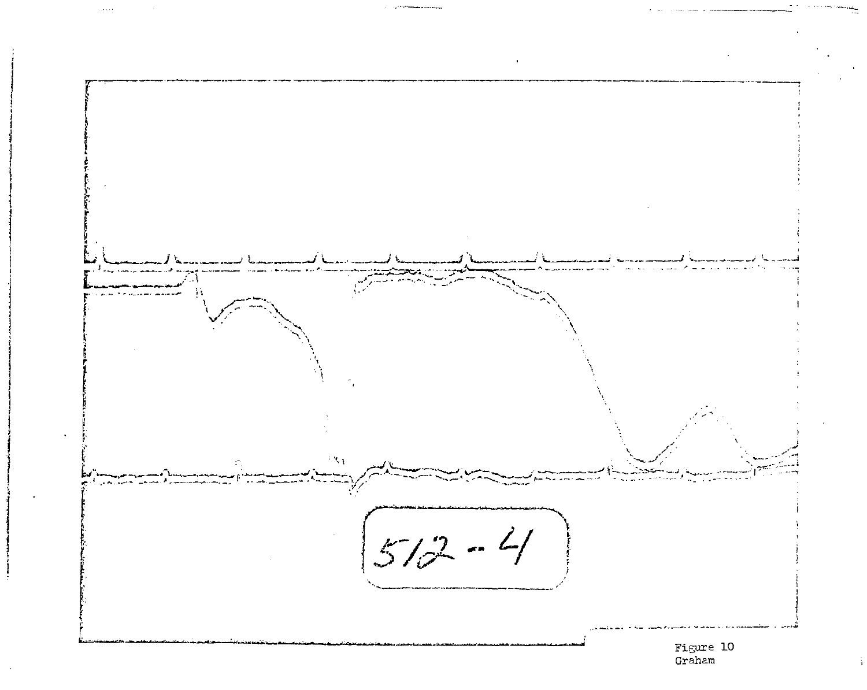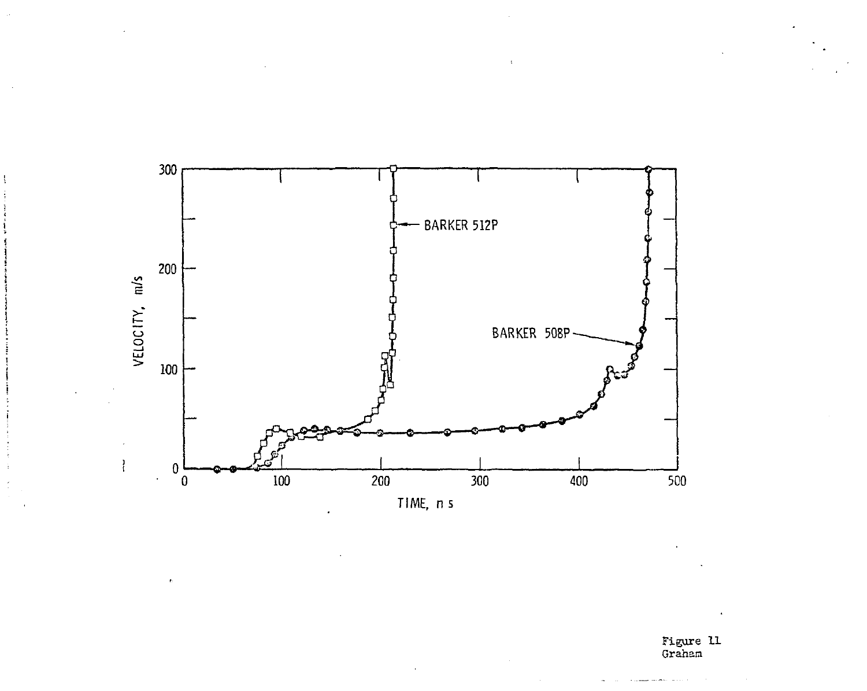

Figure 11<br>Graham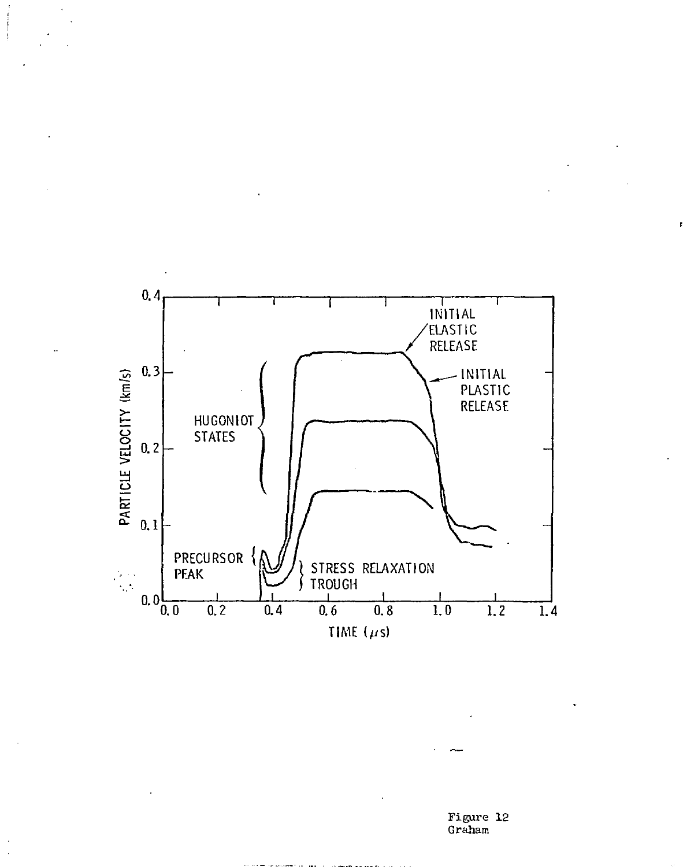

Figure 12 Graham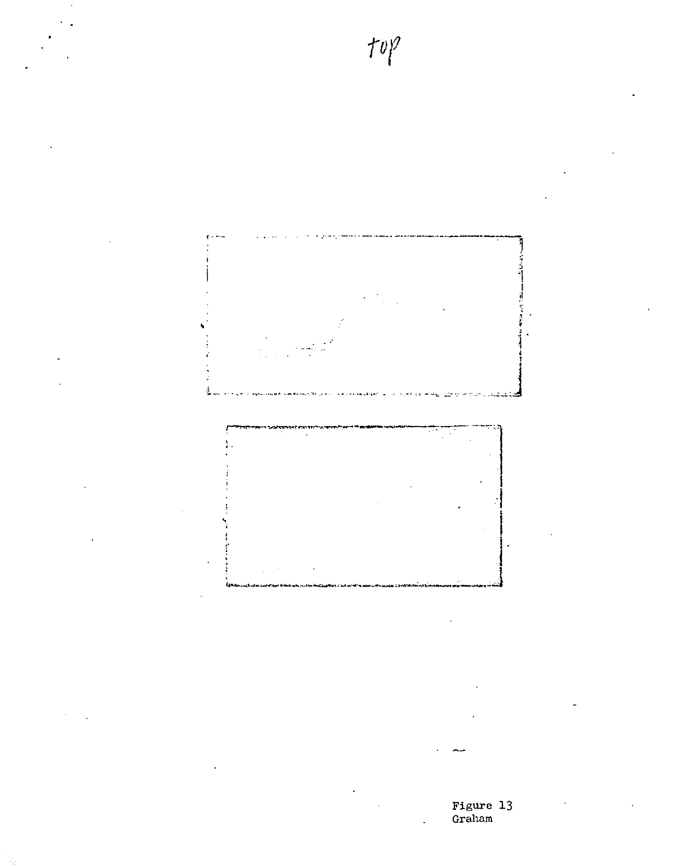

Figure 13<br>Graham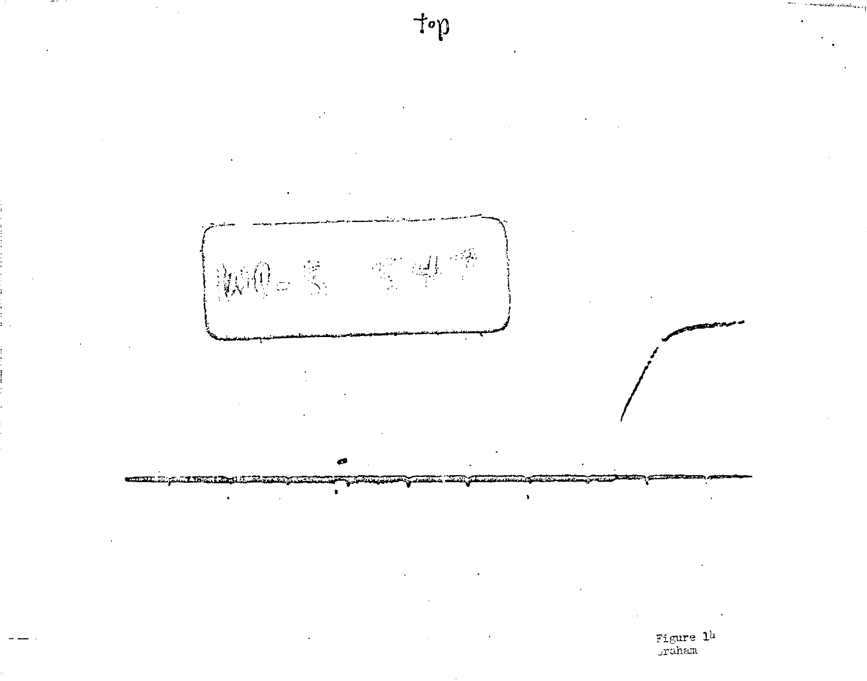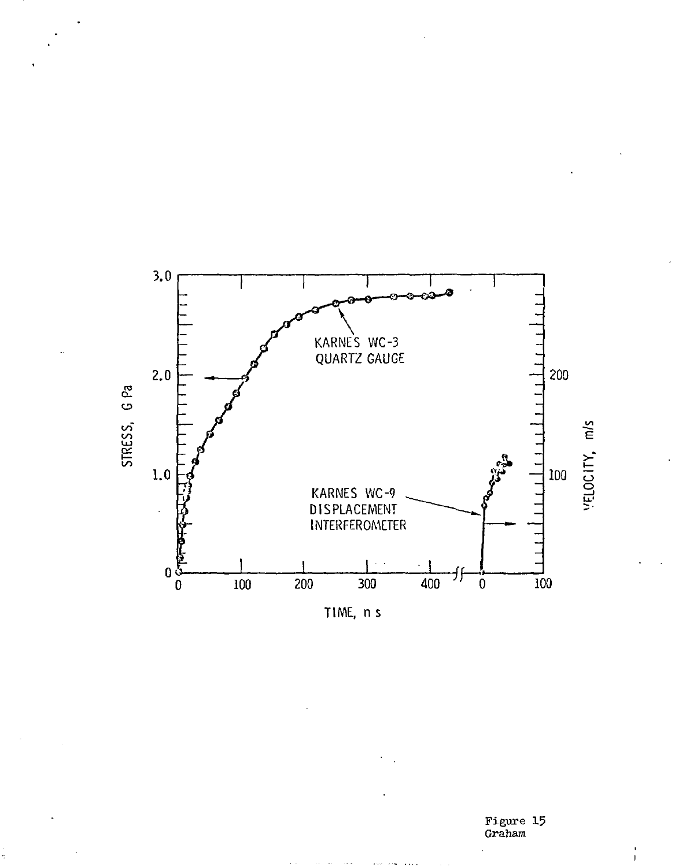

TIME, n s

Figure 15<br>Graham

 $\mathbf{I}$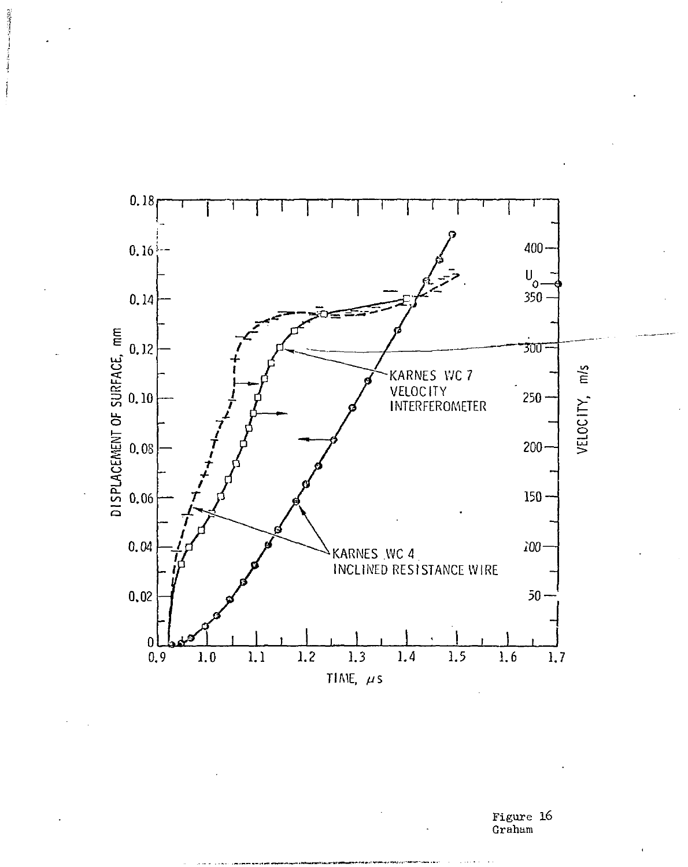

Figure 16 Graham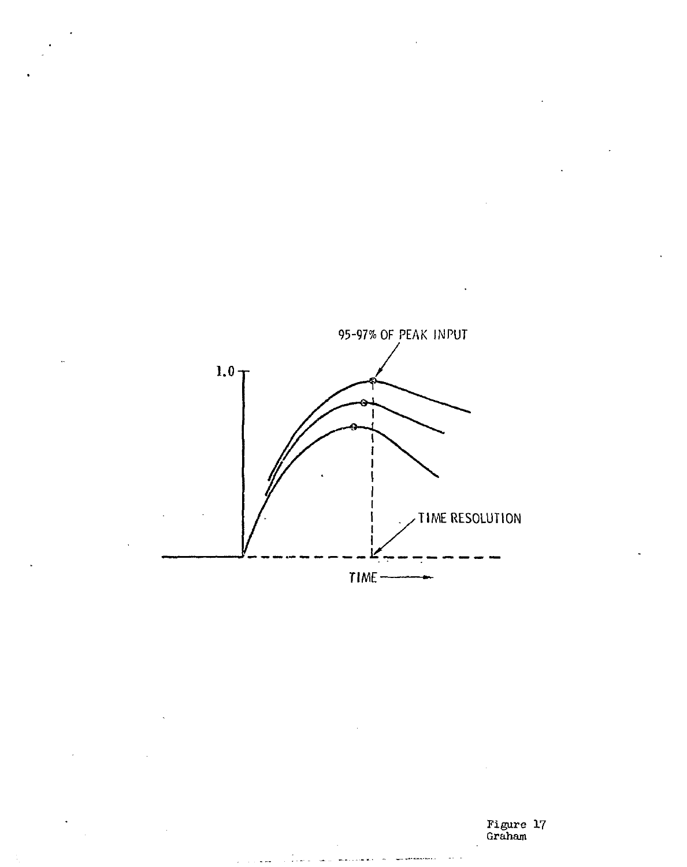

Figure 17 Graham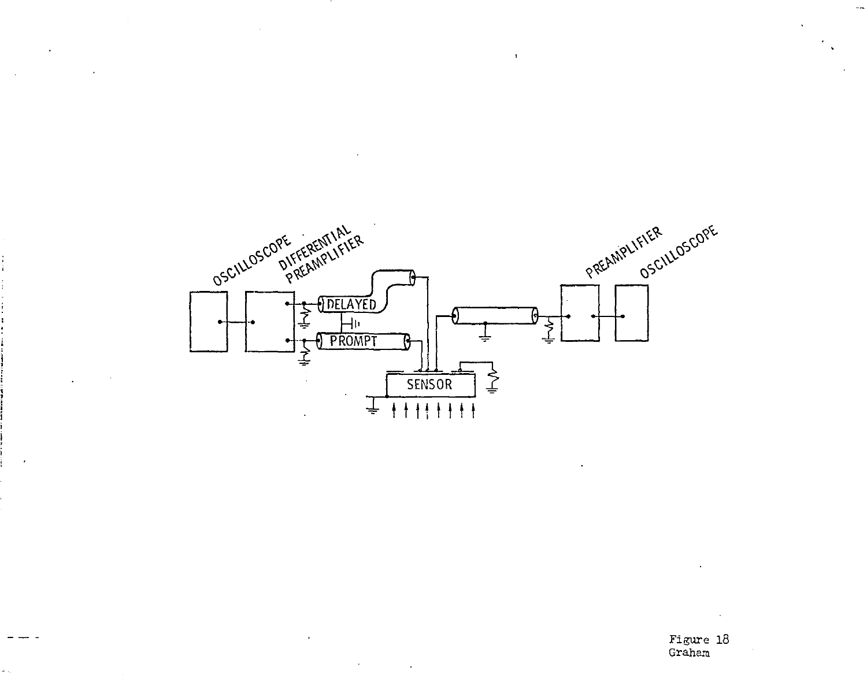

 $\mathcal{L}$ 

 $\bar{1}$ 

 $\bullet$ 

 $\sim$ 

 $\,$  .

à,

Figure 18<br>Graham

 $\lambda$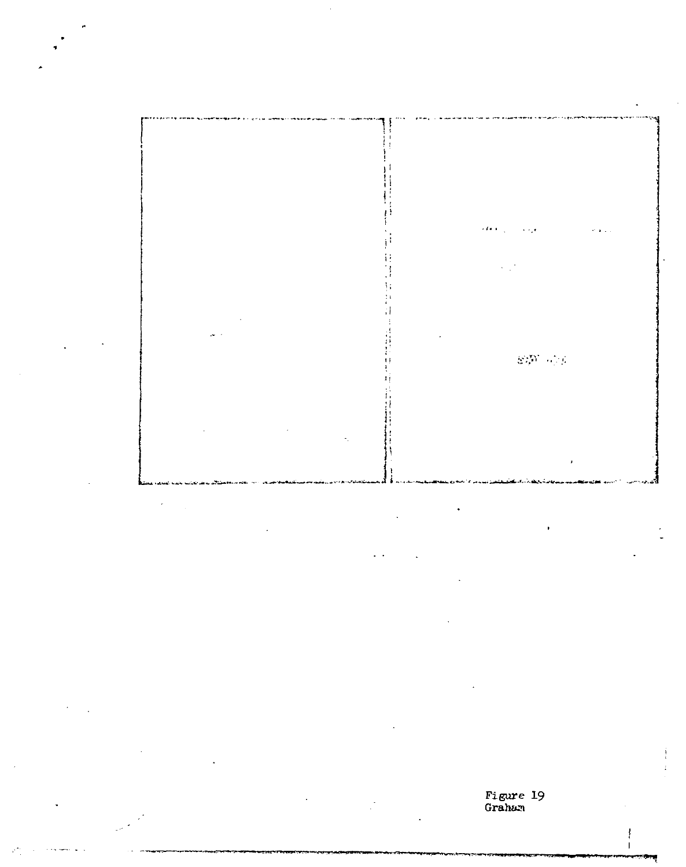

Figure 19<br>Graham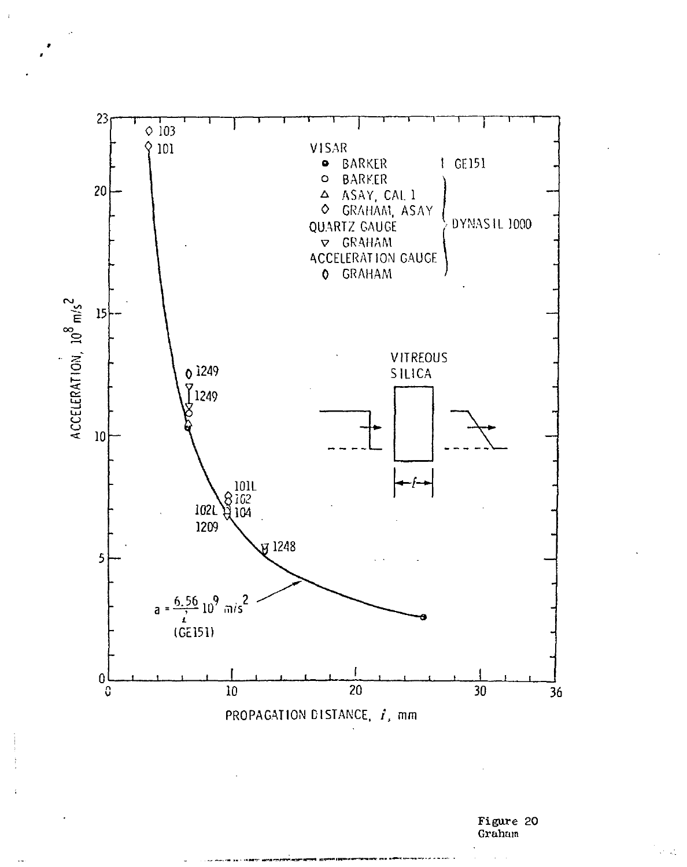

Figure 20<br>Graham

 $\epsilon^*$  .  $\omega^*_{\rm s}$